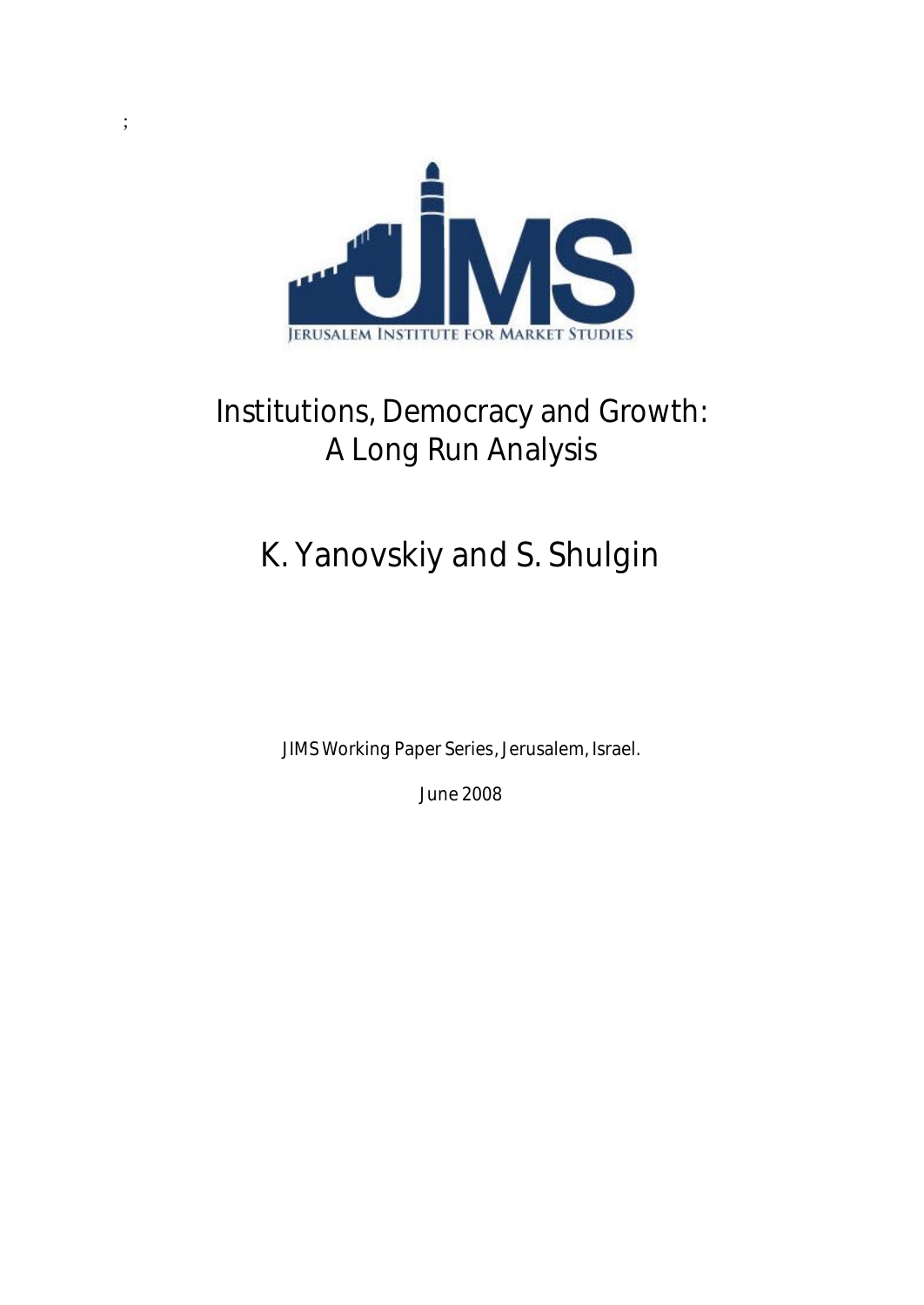

;

# **Institutions, Democracy and Growth: A Long Run Analysis**

# **K. Yanovskiy and S. Shulgin**

**JIMS Working Paper Series, Jerusalem, Israel.**

**June 2008**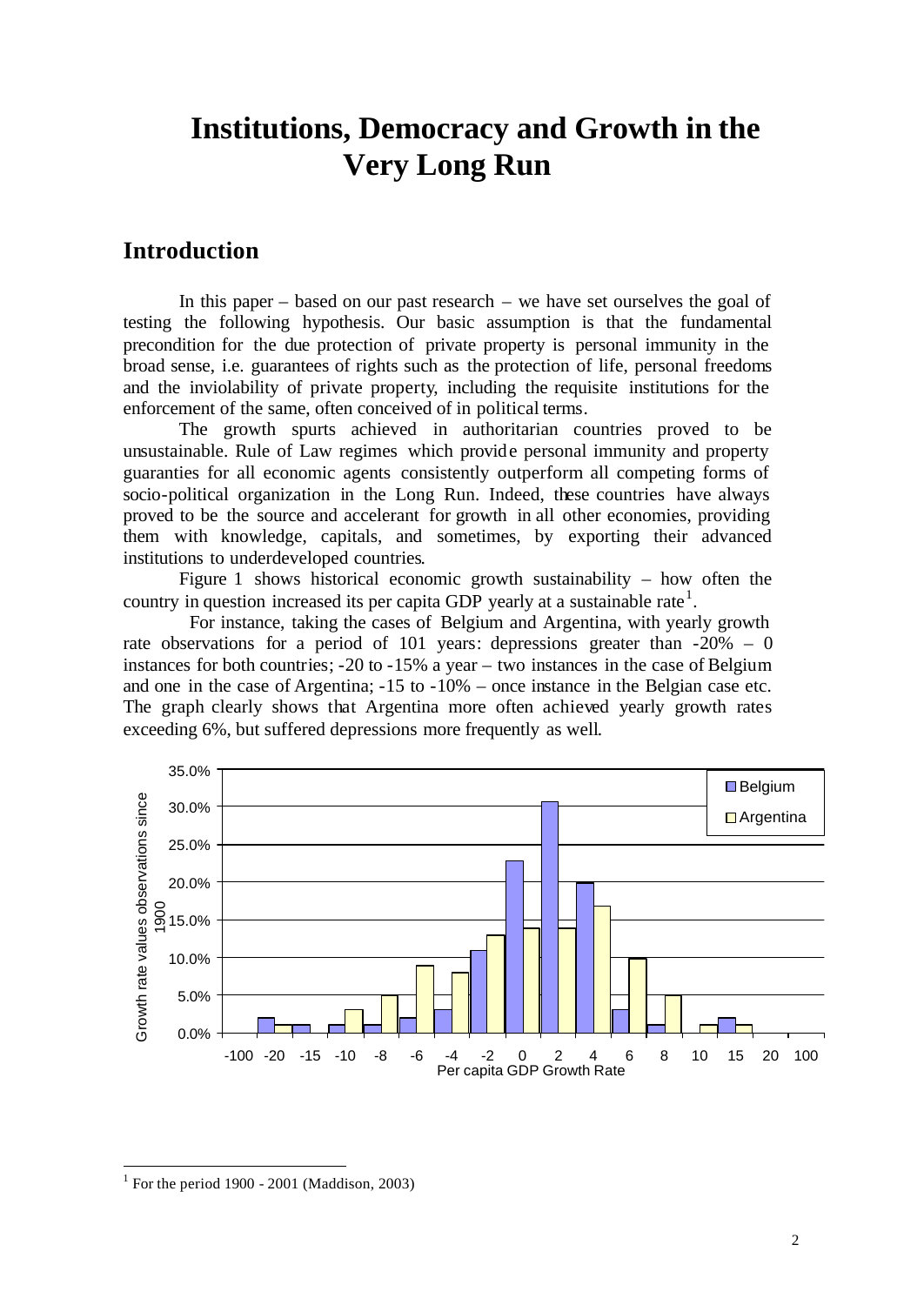# **Institutions, Democracy and Growth in the Very Long Run**

# **Introduction**

In this paper – based on our past research – we have set ourselves the goal of testing the following hypothesis. Our basic assumption is that the fundamental precondition for the due protection of private property is personal immunity in the broad sense, i.e. guarantees of rights such as the protection of life, personal freedoms and the inviolability of private property, including the requisite institutions for the enforcement of the same, often conceived of in political terms.

The growth spurts achieved in authoritarian countries proved to be unsustainable. Rule of Law regimes which provide personal immunity and property guaranties for all economic agents consistently outperform all competing forms of socio-political organization in the Long Run. Indeed, these countries have always proved to be the source and accelerant for growth in all other economies, providing them with knowledge, capitals, and sometimes, by exporting their advanced institutions to underdeveloped countries.

Figure 1 shows historical economic growth sustainability – how often the country in question increased its per capita GDP yearly at a sustainable rate<sup>1</sup>.

For instance, taking the cases of Belgium and Argentina, with yearly growth rate observations for a period of 101 years: depressions greater than  $-20\% - 0$ instances for both countries; -20 to -15% a year – two instances in the case of Belgium and one in the case of Argentina; -15 to -10% – once instance in the Belgian case etc. The graph clearly shows that Argentina more often achieved yearly growth rates exceeding 6%, but suffered depressions more frequently as well.



 $1$  For the period 1900 - 2001 (Maddison, 2003)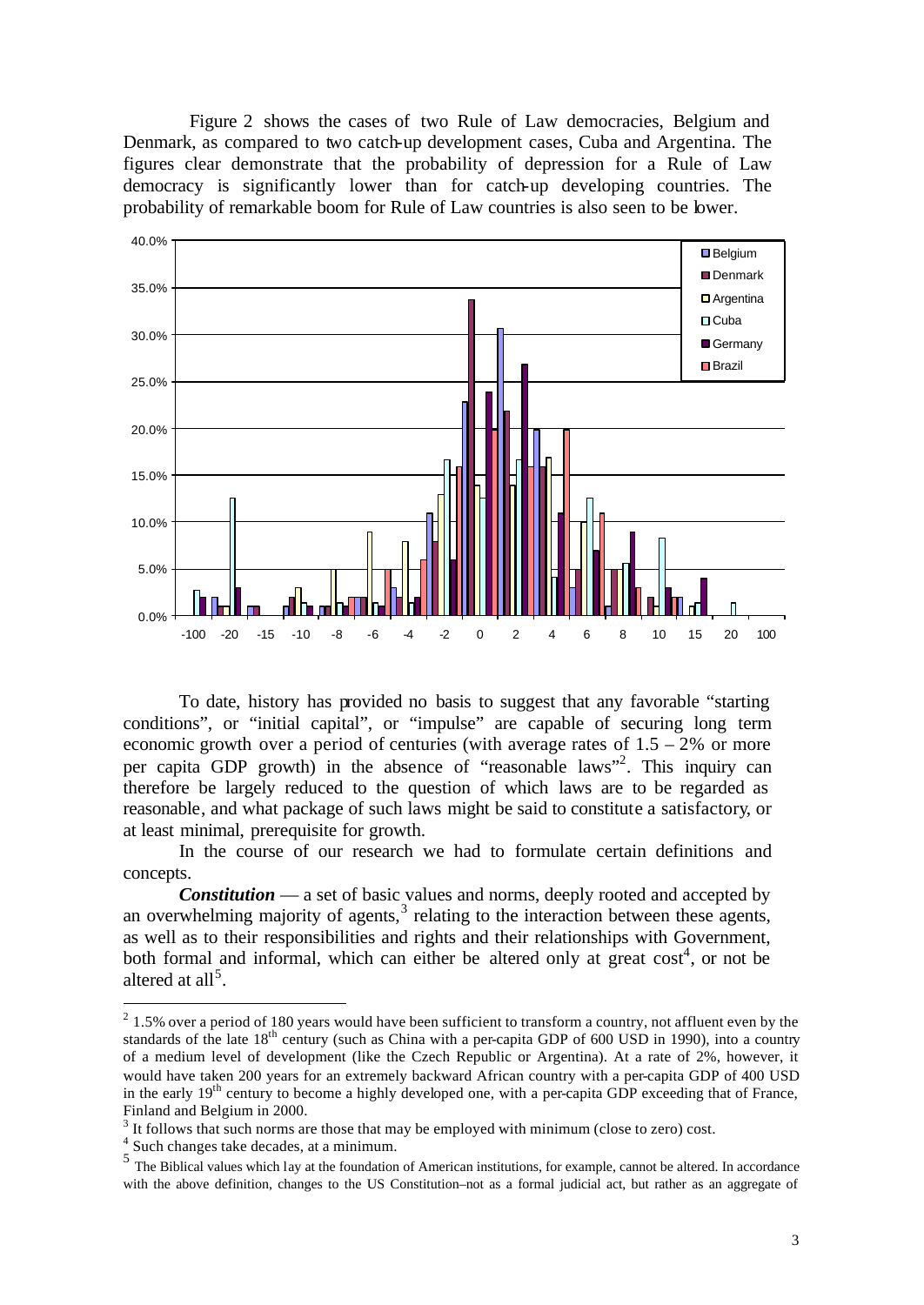Figure 2 shows the cases of two Rule of Law democracies, Belgium and Denmark, as compared to two catch-up development cases, Cuba and Argentina. The figures clear demonstrate that the probability of depression for a Rule of Law democracy is significantly lower than for catch-up developing countries. The probability of remarkable boom for Rule of Law countries is also seen to be lower.



To date, history has provided no basis to suggest that any favorable "starting conditions", or "initial capital", or "impulse" are capable of securing long term economic growth over a period of centuries (with average rates of  $1.5 - 2\%$  or more per capita GDP growth) in the absence of "reasonable laws"<sup>2</sup> . This inquiry can therefore be largely reduced to the question of which laws are to be regarded as reasonable, and what package of such laws might be said to constitute a satisfactory, or at least minimal, prerequisite for growth.

In the course of our research we had to formulate certain definitions and concepts.

*Constitution* — a set of basic values and norms, deeply rooted and accepted by an overwhelming majority of agents, $3$  relating to the interaction between these agents, as well as to their responsibilities and rights and their relationships with Government, both formal and informal, which can either be altered only at great  $cost<sup>4</sup>$ , or not be altered at all<sup>5</sup>.

 $2^{2}$  1.5% over a period of 180 years would have been sufficient to transform a country, not affluent even by the standards of the late 18<sup>th</sup> century (such as China with a per-capita GDP of 600 USD in 1990), into a country of a medium level of development (like the Czech Republic or Argentina). At a rate of 2%, however, it would have taken 200 years for an extremely backward African country with a per-capita GDP of 400 USD in the early 19<sup>th</sup> century to become a highly developed one, with a per-capita GDP exceeding that of France, Finland and Belgium in 2000.

 $3$  It follows that such norms are those that may be employed with minimum (close to zero) cost.

<sup>&</sup>lt;sup>4</sup> Such changes take decades, at a minimum.

<sup>&</sup>lt;sup>5</sup> The Biblical values which lay at the foundation of American institutions, for example, cannot be altered. In accordance with the above definition, changes to the US Constitution–not as a formal judicial act, but rather as an aggregate of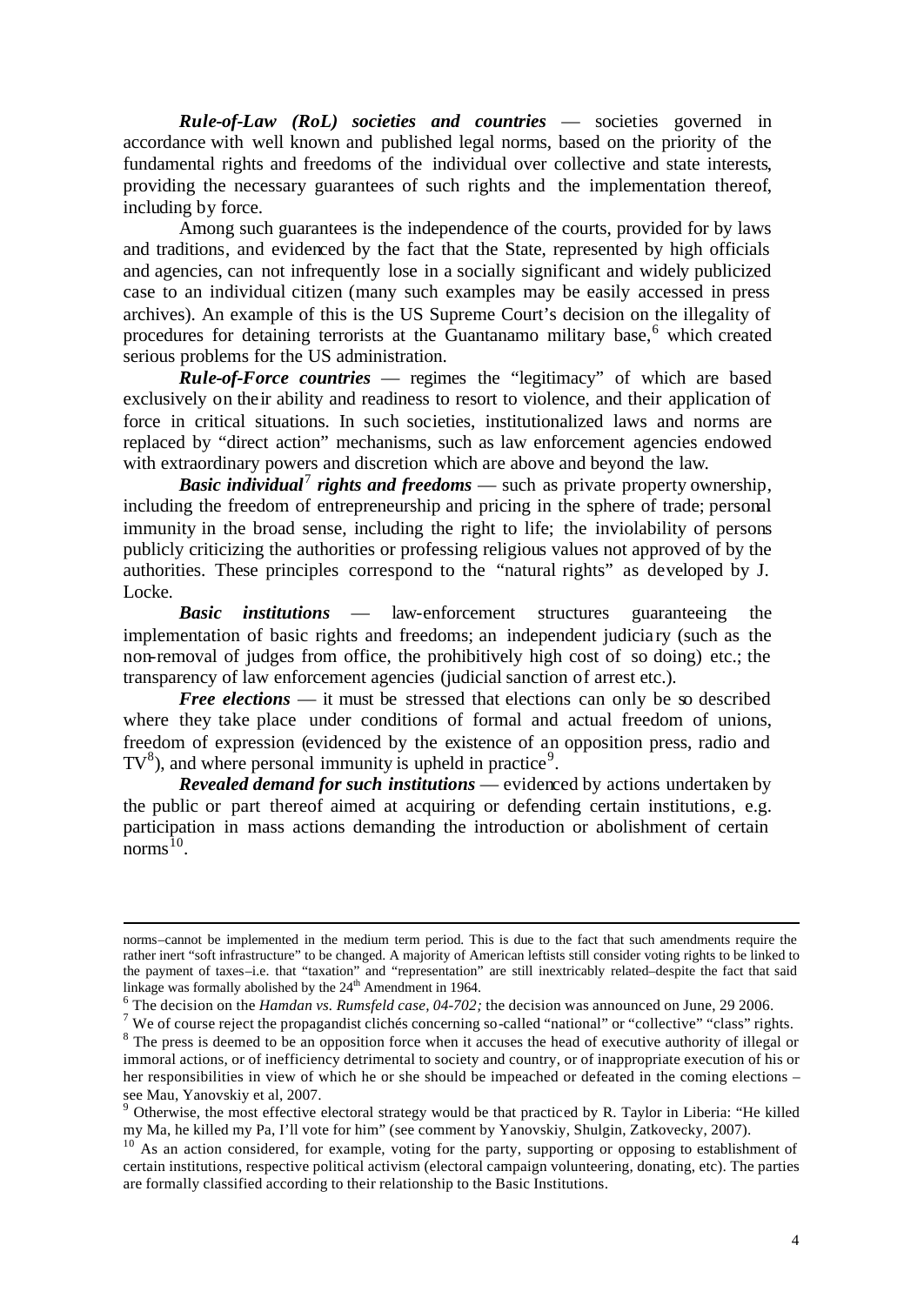*Rule-of-Law (RoL) societies and countries* — societies governed in accordance with well known and published legal norms, based on the priority of the fundamental rights and freedoms of the individual over collective and state interests, providing the necessary guarantees of such rights and the implementation thereof, including by force.

Among such guarantees is the independence of the courts, provided for by laws and traditions, and evidenced by the fact that the State, represented by high officials and agencies, can not infrequently lose in a socially significant and widely publicized case to an individual citizen (many such examples may be easily accessed in press archives). An example of this is the US Supreme Court's decision on the illegality of procedures for detaining terrorists at the Guantanamo military base, $6$  which created serious problems for the US administration.

*Rule-of-Force countries* — regimes the "legitimacy" of which are based exclusively on their ability and readiness to resort to violence, and their application of force in critical situations. In such societies, institutionalized laws and norms are replaced by "direct action" mechanisms, such as law enforcement agencies endowed with extraordinary powers and discretion which are above and beyond the law.

*Basic individual<sup>7</sup> rights and freedoms* — such as private property ownership, including the freedom of entrepreneurship and pricing in the sphere of trade; personal immunity in the broad sense, including the right to life; the inviolability of persons publicly criticizing the authorities or professing religious values not approved of by the authorities. These principles correspond to the "natural rights" as developed by J. Locke.

*Basic institutions* — law-enforcement structures guaranteeing the implementation of basic rights and freedoms; an independent judicia ry (such as the non-removal of judges from office, the prohibitively high cost of so doing) etc.; the transparency of law enforcement agencies (judicial sanction of arrest etc.).

 *Free elections* — it must be stressed that elections can only be so described where they take place under conditions of formal and actual freedom of unions, freedom of expression (evidenced by the existence of an opposition press, radio and  $TV^8$ ), and where personal immunity is upheld in practice<sup>9</sup>.

*Revealed demand for such institutions* — evidenced by actions undertaken by the public or part thereof aimed at acquiring or defending certain institutions, e.g. participation in mass actions demanding the introduction or abolishment of certain norms $^{10}$ .

norms–cannot be implemented in the medium term period. This is due to the fact that such amendments require the rather inert "soft infrastructure" to be changed. A majority of American leftists still consider voting rights to be linked to the payment of taxes–i.e. that "taxation" and "representation" are still inextricably related–despite the fact that said linkage was formally abolished by the 24<sup>th</sup> Amendment in 1964.

<sup>6</sup> The decision on the *Hamdan vs. Rumsfeld case, 04-702;* the decision was announced on June, 29 2006.

<sup>&</sup>lt;sup>7</sup> We of course reject the propagandist clichés concerning so-called "national" or "collective" "class" rights. <sup>8</sup> The press is deemed to be an opposition force when it accuses the head of executive authority of illegal or immoral actions, or of inefficiency detrimental to society and country, or of inappropriate execution of his or her responsibilities in view of which he or she should be impeached or defeated in the coming elections – see Mau, Yanovskiy et al, 2007.

<sup>&</sup>lt;sup>9</sup> Otherwise, the most effective electoral strategy would be that practiced by R. Taylor in Liberia: "He killed my Ma, he killed my Pa, I'll vote for him" (see comment by Yanovskiy, Shulgin, Zatkovecky, 2007).

 $10^{10}$  As an action considered, for example, voting for the party, supporting or opposing to establishment of certain institutions, respective political activism (electoral campaign volunteering, donating, etc). The parties are formally classified according to their relationship to the Basic Institutions.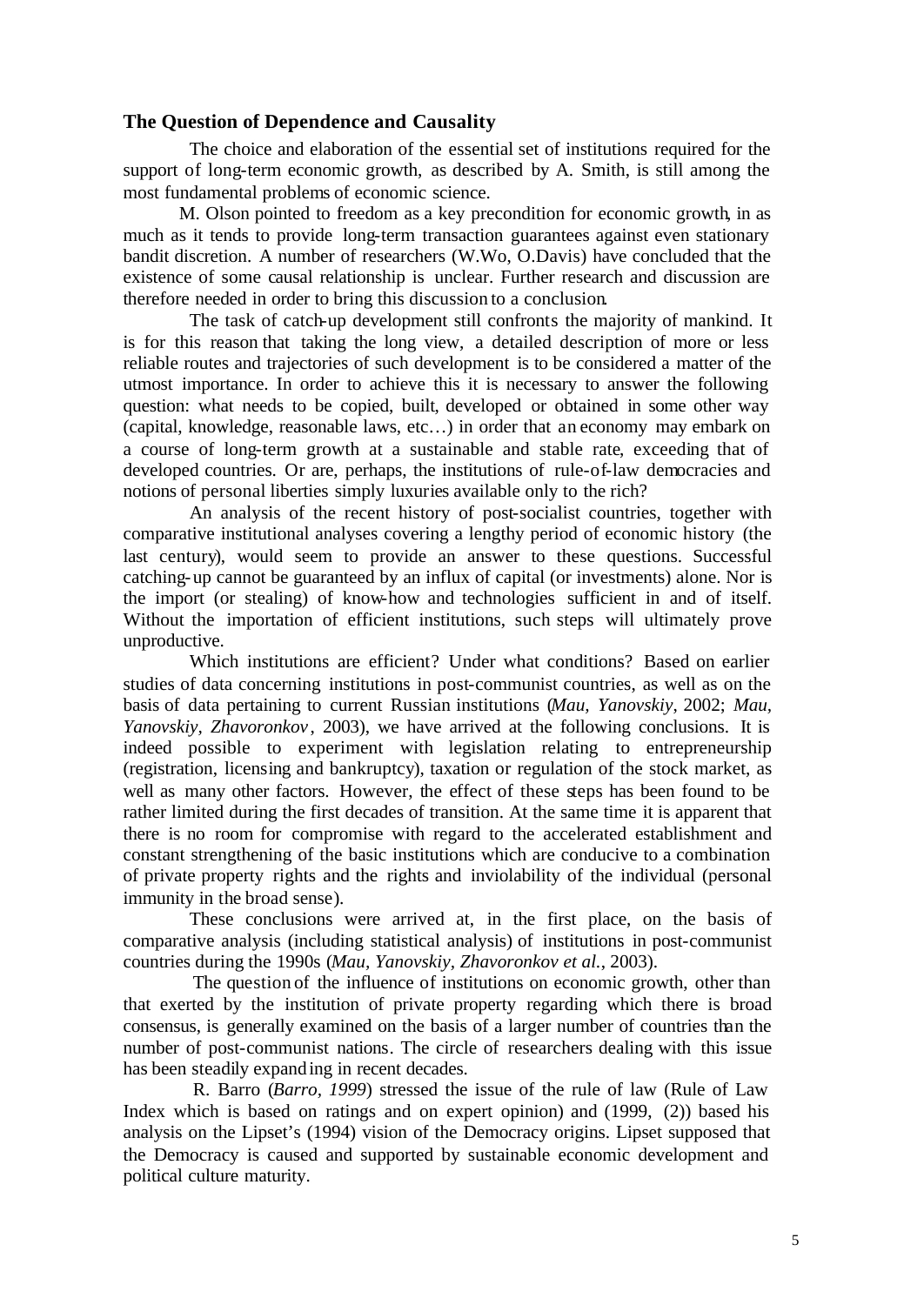## **The Question of Dependence and Causality**

The choice and elaboration of the essential set of institutions required for the support of long-term economic growth, as described by A. Smith, is still among the most fundamental problems of economic science.

M. Olson pointed to freedom as a key precondition for economic growth, in as much as it tends to provide long-term transaction guarantees against even stationary bandit discretion. A number of researchers (W.Wo, O.Davis) have concluded that the existence of some causal relationship is unclear. Further research and discussion are therefore needed in order to bring this discussion to a conclusion.

The task of catch-up development still confronts the majority of mankind. It is for this reason that taking the long view, a detailed description of more or less reliable routes and trajectories of such development is to be considered a matter of the utmost importance. In order to achieve this it is necessary to answer the following question: what needs to be copied, built, developed or obtained in some other way (capital, knowledge, reasonable laws, etc…) in order that an economy may embark on a course of long-term growth at a sustainable and stable rate, exceeding that of developed countries. Or are, perhaps, the institutions of rule-of-law democracies and notions of personal liberties simply luxuries available only to the rich?

An analysis of the recent history of post-socialist countries, together with comparative institutional analyses covering a lengthy period of economic history (the last century), would seem to provide an answer to these questions. Successful catching-up cannot be guaranteed by an influx of capital (or investments) alone. Nor is the import (or stealing) of know-how and technologies sufficient in and of itself. Without the importation of efficient institutions, such steps will ultimately prove unproductive.

Which institutions are efficient? Under what conditions? Based on earlier studies of data concerning institutions in post-communist countries, as well as on the basis of data pertaining to current Russian institutions (*Mau, Yanovskiy*, 2002; *Mau, Yanovskiy, Zhavoronkov* , 2003), we have arrived at the following conclusions. It is indeed possible to experiment with legislation relating to entrepreneurship (registration, licensing and bankruptcy), taxation or regulation of the stock market, as well as many other factors. However, the effect of these steps has been found to be rather limited during the first decades of transition. At the same time it is apparent that there is no room for compromise with regard to the accelerated establishment and constant strengthening of the basic institutions which are conducive to a combination of private property rights and the rights and inviolability of the individual (personal immunity in the broad sense).

These conclusions were arrived at, in the first place, on the basis of comparative analysis (including statistical analysis) of institutions in post-communist countries during the 1990s (*Mau, Yanovskiy, Zhavoronkov et al.*, 2003).

The question of the influence of institutions on economic growth, other than that exerted by the institution of private property regarding which there is broad consensus, is generally examined on the basis of a larger number of countries than the number of post-communist nations. The circle of researchers dealing with this issue has been steadily expanding in recent decades.

R. Barro (*Barro, 1999*) stressed the issue of the rule of law (Rule of Law Index which is based on ratings and on expert opinion) and (1999, (2)) based his analysis on the Lipset's (1994) vision of the Democracy origins. Lipset supposed that the Democracy is caused and supported by sustainable economic development and political culture maturity.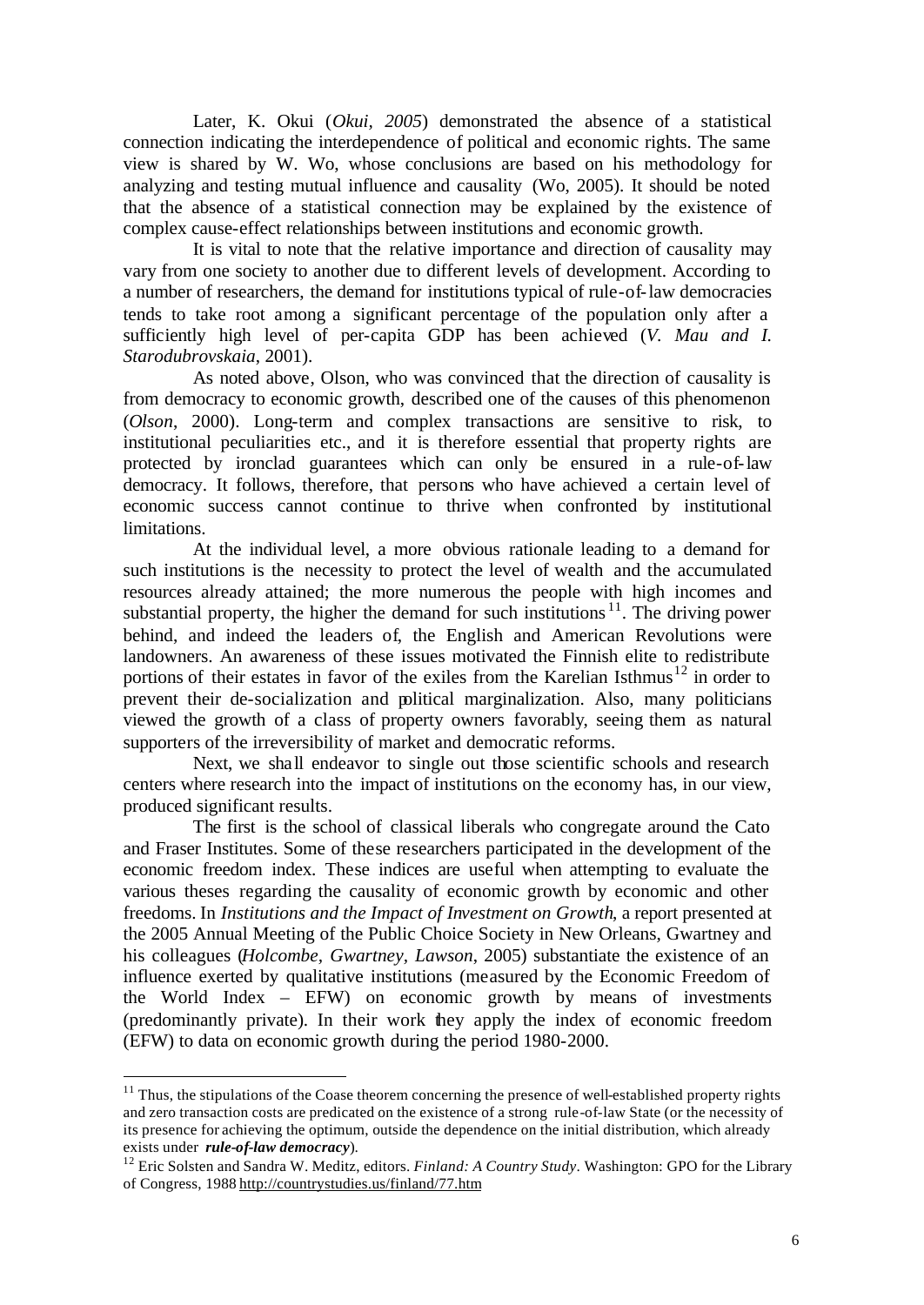Later, K. Okui (*Okui, 2005*) demonstrated the absence of a statistical connection indicating the interdependence of political and economic rights. The same view is shared by W. Wo, whose conclusions are based on his methodology for analyzing and testing mutual influence and causality (Wo, 2005). It should be noted that the absence of a statistical connection may be explained by the existence of complex cause-effect relationships between institutions and economic growth.

It is vital to note that the relative importance and direction of causality may vary from one society to another due to different levels of development. According to a number of researchers, the demand for institutions typical of rule-of-law democracies tends to take root among a significant percentage of the population only after a sufficiently high level of per-capita GDP has been achieved (*V. Mau and I. Starodubrovskaia*, 2001).

As noted above, Olson, who was convinced that the direction of causality is from democracy to economic growth, described one of the causes of this phenomenon (*Olson*, 2000). Long-term and complex transactions are sensitive to risk, to institutional peculiarities etc., and it is therefore essential that property rights are protected by ironclad guarantees which can only be ensured in a rule-of-law democracy. It follows, therefore, that persons who have achieved a certain level of economic success cannot continue to thrive when confronted by institutional limitations.

At the individual level, a more obvious rationale leading to a demand for such institutions is the necessity to protect the level of wealth and the accumulated resources already attained; the more numerous the people with high incomes and substantial property, the higher the demand for such institutions  $11$ . The driving power behind, and indeed the leaders of, the English and American Revolutions were landowners. An awareness of these issues motivated the Finnish elite to redistribute portions of their estates in favor of the exiles from the Karelian Isthmus<sup>12</sup> in order to prevent their de-socialization and political marginalization. Also, many politicians viewed the growth of a class of property owners favorably, seeing them as natural supporters of the irreversibility of market and democratic reforms.

Next, we shall endeavor to single out those scientific schools and research centers where research into the impact of institutions on the economy has, in our view, produced significant results.

The first is the school of classical liberals who congregate around the Cato and Fraser Institutes. Some of these researchers participated in the development of the economic freedom index. These indices are useful when attempting to evaluate the various theses regarding the causality of economic growth by economic and other freedoms. In *Institutions and the Impact of Investment on Growth*, a report presented at the 2005 Annual Meeting of the Public Choice Society in New Orleans, Gwartney and his colleagues (*Holcombe, Gwartney, Lawson*, 2005) substantiate the existence of an influence exerted by qualitative institutions (measured by the Economic Freedom of the World Index – EFW) on economic growth by means of investments (predominantly private). In their work they apply the index of economic freedom (EFW) to data on economic growth during the period 1980-2000.

 $11$  Thus, the stipulations of the Coase theorem concerning the presence of well-established property rights and zero transaction costs are predicated on the existence of a strong rule-of-law State (or the necessity of its presence for achieving the optimum, outside the dependence on the initial distribution, which already exists under *rule-of-law democracy*).

<sup>&</sup>lt;sup>12</sup> Eric Solsten and Sandra W. Meditz, editors. *Finland: A Country Study*. Washington: GPO for the Library of Congress, 1988 http://countrystudies.us/finland/77.htm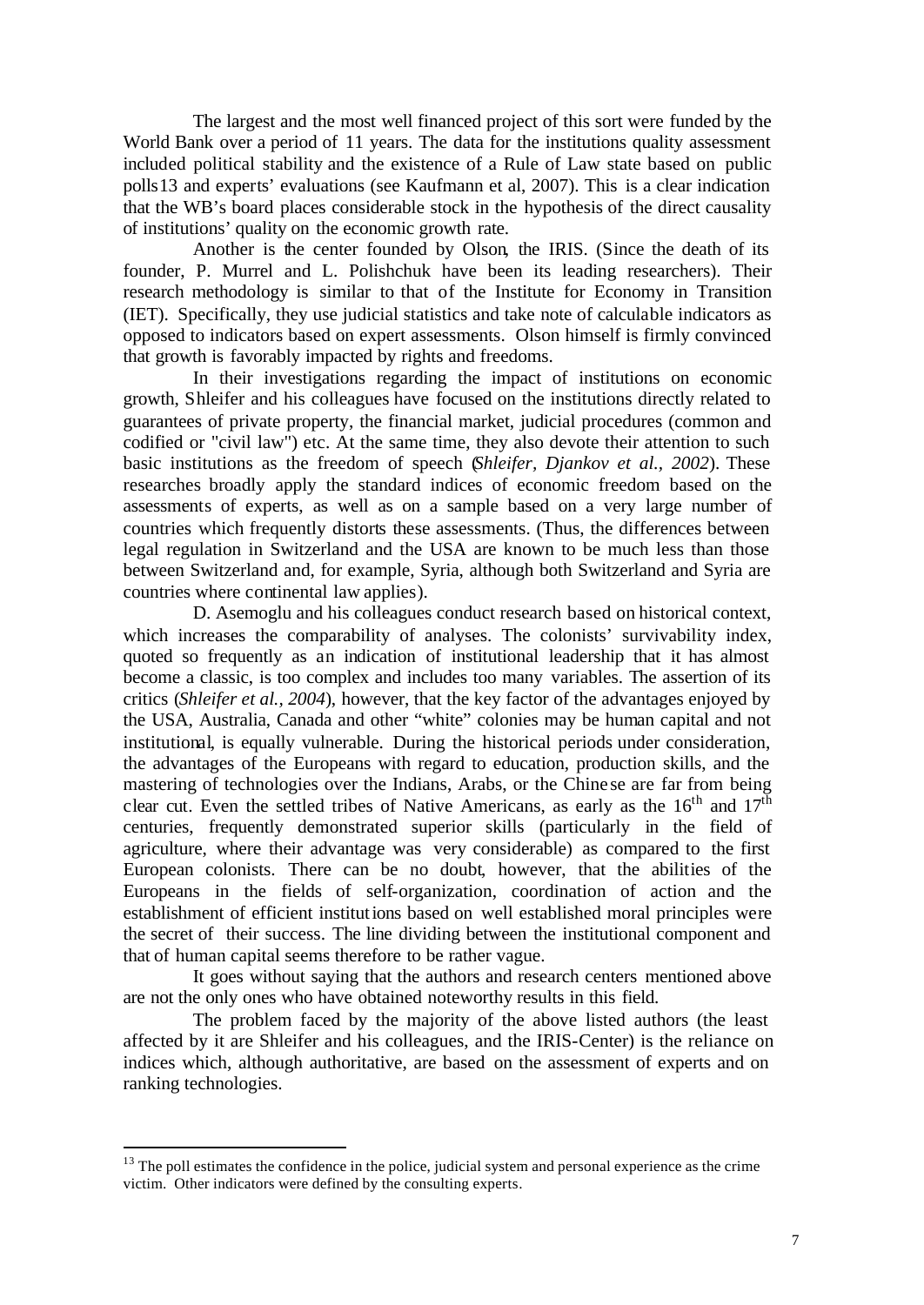The largest and the most well financed project of this sort were funded by the World Bank over a period of 11 years. The data for the institutions quality assessment included political stability and the existence of a Rule of Law state based on public polls13 and experts' evaluations (see Kaufmann et al, 2007). This is a clear indication that the WB's board places considerable stock in the hypothesis of the direct causality of institutions' quality on the economic growth rate.

Another is the center founded by Olson, the IRIS. (Since the death of its founder, P. Murrel and L. Polishchuk have been its leading researchers). Their research methodology is similar to that of the Institute for Economy in Transition (IET). Specifically, they use judicial statistics and take note of calculable indicators as opposed to indicators based on expert assessments. Olson himself is firmly convinced that growth is favorably impacted by rights and freedoms.

In their investigations regarding the impact of institutions on economic growth, Shleifer and his colleagues have focused on the institutions directly related to guarantees of private property, the financial market, judicial procedures (common and codified or "civil law") etc. At the same time, they also devote their attention to such basic institutions as the freedom of speech (*Shleifer, Djankov et al., 2002*). These researches broadly apply the standard indices of economic freedom based on the assessments of experts, as well as on a sample based on a very large number of countries which frequently distorts these assessments. (Thus, the differences between legal regulation in Switzerland and the USA are known to be much less than those between Switzerland and, for example, Syria, although both Switzerland and Syria are countries where continental law applies).

D. Asemoglu and his colleagues conduct research based on historical context, which increases the comparability of analyses. The colonists' survivability index, quoted so frequently as an indication of institutional leadership that it has almost become a classic, is too complex and includes too many variables. The assertion of its critics (*Shleifer et al., 2004*), however, that the key factor of the advantages enjoyed by the USA, Australia, Canada and other "white" colonies may be human capital and not institutional, is equally vulnerable. During the historical periods under consideration, the advantages of the Europeans with regard to education, production skills, and the mastering of technologies over the Indians, Arabs, or the Chine se are far from being clear cut. Even the settled tribes of Native Americans, as early as the  $16<sup>th</sup>$  and  $17<sup>th</sup>$ centuries, frequently demonstrated superior skills (particularly in the field of agriculture, where their advantage was very considerable) as compared to the first European colonists. There can be no doubt, however, that the abilities of the Europeans in the fields of self-organization, coordination of action and the establishment of efficient institutions based on well established moral principles were the secret of their success. The line dividing between the institutional component and that of human capital seems therefore to be rather vague.

It goes without saying that the authors and research centers mentioned above are not the only ones who have obtained noteworthy results in this field.

The problem faced by the majority of the above listed authors (the least affected by it are Shleifer and his colleagues, and the IRIS-Center) is the reliance on indices which, although authoritative, are based on the assessment of experts and on ranking technologies.

<sup>&</sup>lt;sup>13</sup> The poll estimates the confidence in the police, judicial system and personal experience as the crime victim. Other indicators were defined by the consulting experts.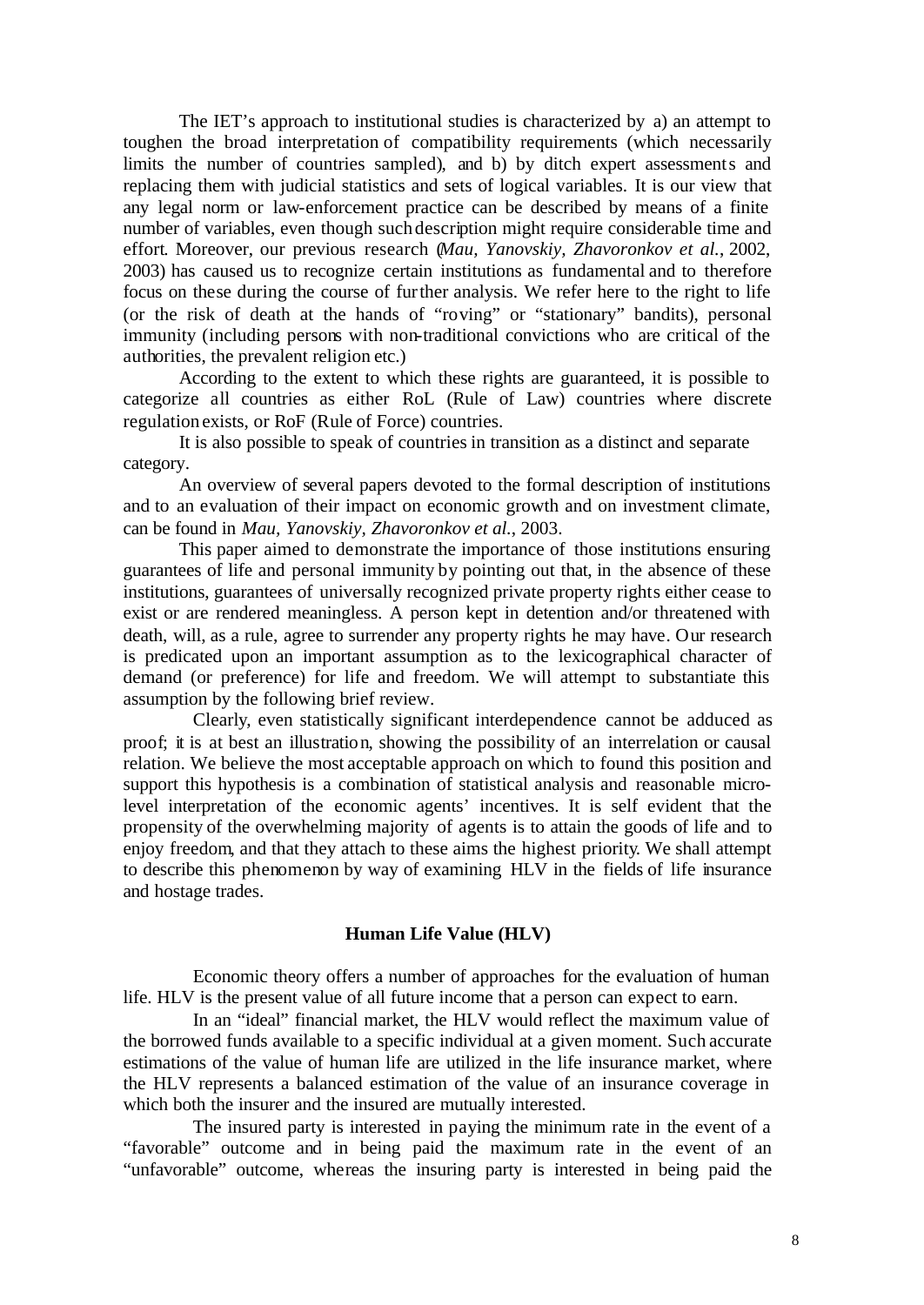The IET's approach to institutional studies is characterized by a) an attempt to toughen the broad interpretation of compatibility requirements (which necessarily limits the number of countries sampled), and b) by ditch expert assessments and replacing them with judicial statistics and sets of logical variables. It is our view that any legal norm or law-enforcement practice can be described by means of a finite number of variables, even though such description might require considerable time and effort. Moreover, our previous research (*Mau, Yanovskiy, Zhavoronkov et al.*, 2002, 2003) has caused us to recognize certain institutions as fundamental and to therefore focus on these during the course of further analysis. We refer here to the right to life (or the risk of death at the hands of "roving" or "stationary" bandits), personal immunity (including persons with non-traditional convictions who are critical of the authorities, the prevalent religion etc.)

According to the extent to which these rights are guaranteed, it is possible to categorize all countries as either RoL (Rule of Law) countries where discrete regulation exists, or RoF (Rule of Force) countries.

It is also possible to speak of countries in transition as a distinct and separate category.

An overview of several papers devoted to the formal description of institutions and to an evaluation of their impact on economic growth and on investment climate, can be found in *Mau, Yanovskiy, Zhavoronkov et al.*, 2003.

This paper aimed to demonstrate the importance of those institutions ensuring guarantees of life and personal immunity by pointing out that, in the absence of these institutions, guarantees of universally recognized private property rights either cease to exist or are rendered meaningless. A person kept in detention and/or threatened with death, will, as a rule, agree to surrender any property rights he may have. Our research is predicated upon an important assumption as to the lexicographical character of demand (or preference) for life and freedom. We will attempt to substantiate this assumption by the following brief review.

Clearly, even statistically significant interdependence cannot be adduced as proof; it is at best an illustration, showing the possibility of an interrelation or causal relation. We believe the most acceptable approach on which to found this position and support this hypothesis is a combination of statistical analysis and reasonable microlevel interpretation of the economic agents' incentives. It is self evident that the propensity of the overwhelming majority of agents is to attain the goods of life and to enjoy freedom, and that they attach to these aims the highest priority. We shall attempt to describe this phenomenon by way of examining HLV in the fields of life insurance and hostage trades.

#### **Human Life Value (HLV)**

Economic theory offers a number of approaches for the evaluation of human life. HLV is the present value of all future income that a person can expect to earn.

In an "ideal" financial market, the HLV would reflect the maximum value of the borrowed funds available to a specific individual at a given moment. Such accurate estimations of the value of human life are utilized in the life insurance market, where the HLV represents a balanced estimation of the value of an insurance coverage in which both the insurer and the insured are mutually interested.

The insured party is interested in paying the minimum rate in the event of a "favorable" outcome and in being paid the maximum rate in the event of an "unfavorable" outcome, whereas the insuring party is interested in being paid the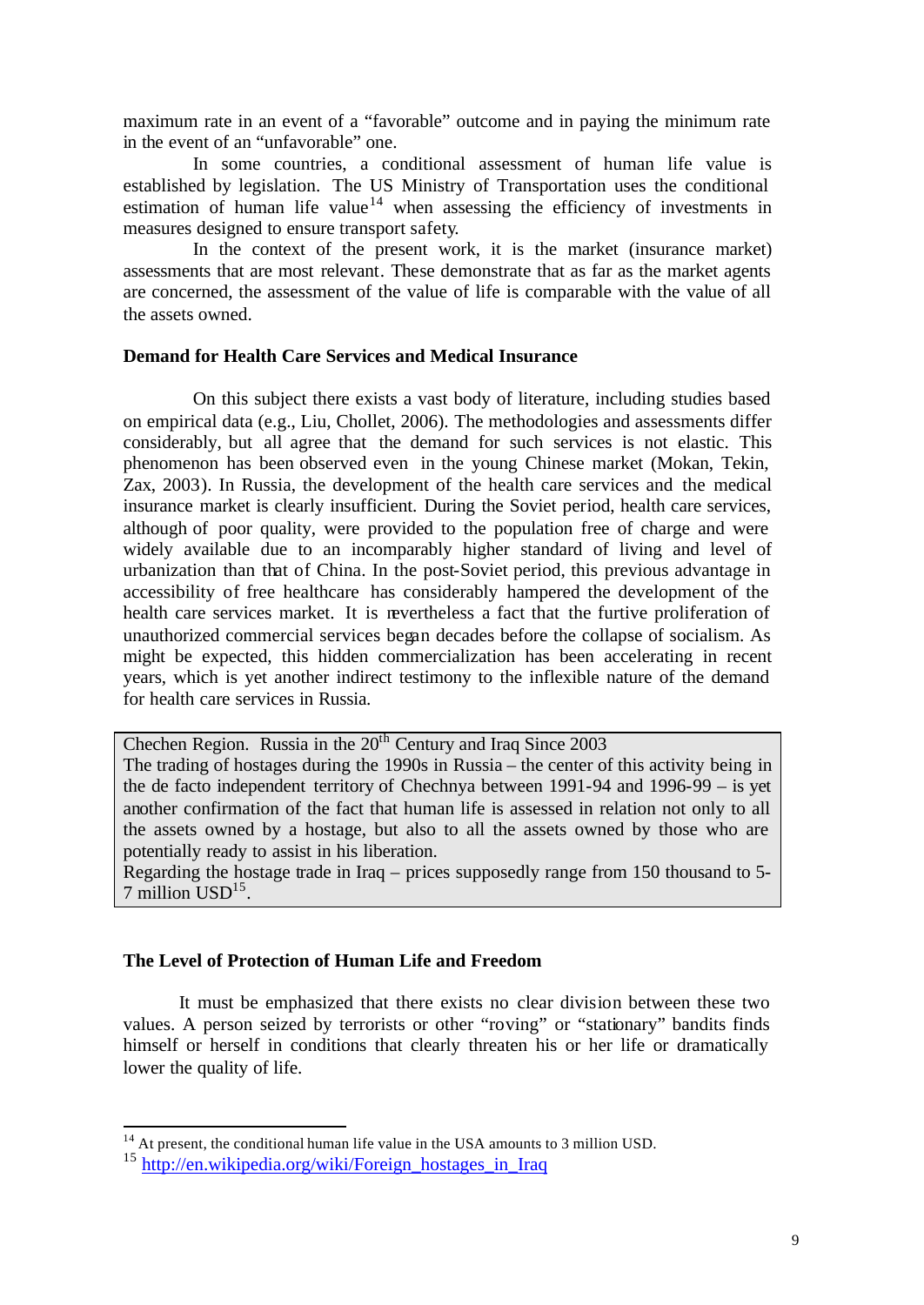maximum rate in an event of a "favorable" outcome and in paying the minimum rate in the event of an "unfavorable" one.

In some countries, a conditional assessment of human life value is established by legislation. The US Ministry of Transportation uses the conditional estimation of human life value<sup>14</sup> when assessing the efficiency of investments in measures designed to ensure transport safety.

In the context of the present work, it is the market (insurance market) assessments that are most relevant. These demonstrate that as far as the market agents are concerned, the assessment of the value of life is comparable with the value of all the assets owned.

## **Demand for Health Care Services and Medical Insurance**

On this subject there exists a vast body of literature, including studies based on empirical data (e.g., Liu, Chollet, 2006). The methodologies and assessments differ considerably, but all agree that the demand for such services is not elastic. This phenomenon has been observed even in the young Chinese market (Mokan, Tekin, Zax, 2003). In Russia, the development of the health care services and the medical insurance market is clearly insufficient. During the Soviet period, health care services, although of poor quality, were provided to the population free of charge and were widely available due to an incomparably higher standard of living and level of urbanization than that of China. In the post-Soviet period, this previous advantage in accessibility of free healthcare has considerably hampered the development of the health care services market. It is nevertheless a fact that the furtive proliferation of unauthorized commercial services began decades before the collapse of socialism. As might be expected, this hidden commercialization has been accelerating in recent years, which is yet another indirect testimony to the inflexible nature of the demand for health care services in Russia.

Chechen Region. Russia in the  $20<sup>th</sup>$  Century and Iraq Since 2003 The trading of hostages during the 1990s in Russia – the center of this activity being in the de facto independent territory of Chechnya between 1991-94 and 1996-99 – is yet another confirmation of the fact that human life is assessed in relation not only to all the assets owned by a hostage, but also to all the assets owned by those who are potentially ready to assist in his liberation.

Regarding the hostage trade in Iraq – prices supposedly range from 150 thousand to 5-  $7$  million  $USD<sup>15</sup>$ .

# **The Level of Protection of Human Life and Freedom**

It must be emphasized that there exists no clear division between these two values. A person seized by terrorists or other "roving" or "stationary" bandits finds himself or herself in conditions that clearly threaten his or her life or dramatically lower the quality of life.

<sup>&</sup>lt;sup>14</sup> At present, the conditional human life value in the USA amounts to 3 million USD.

<sup>&</sup>lt;sup>15</sup> http://en.wikipedia.org/wiki/Foreign\_hostages\_in\_Iraq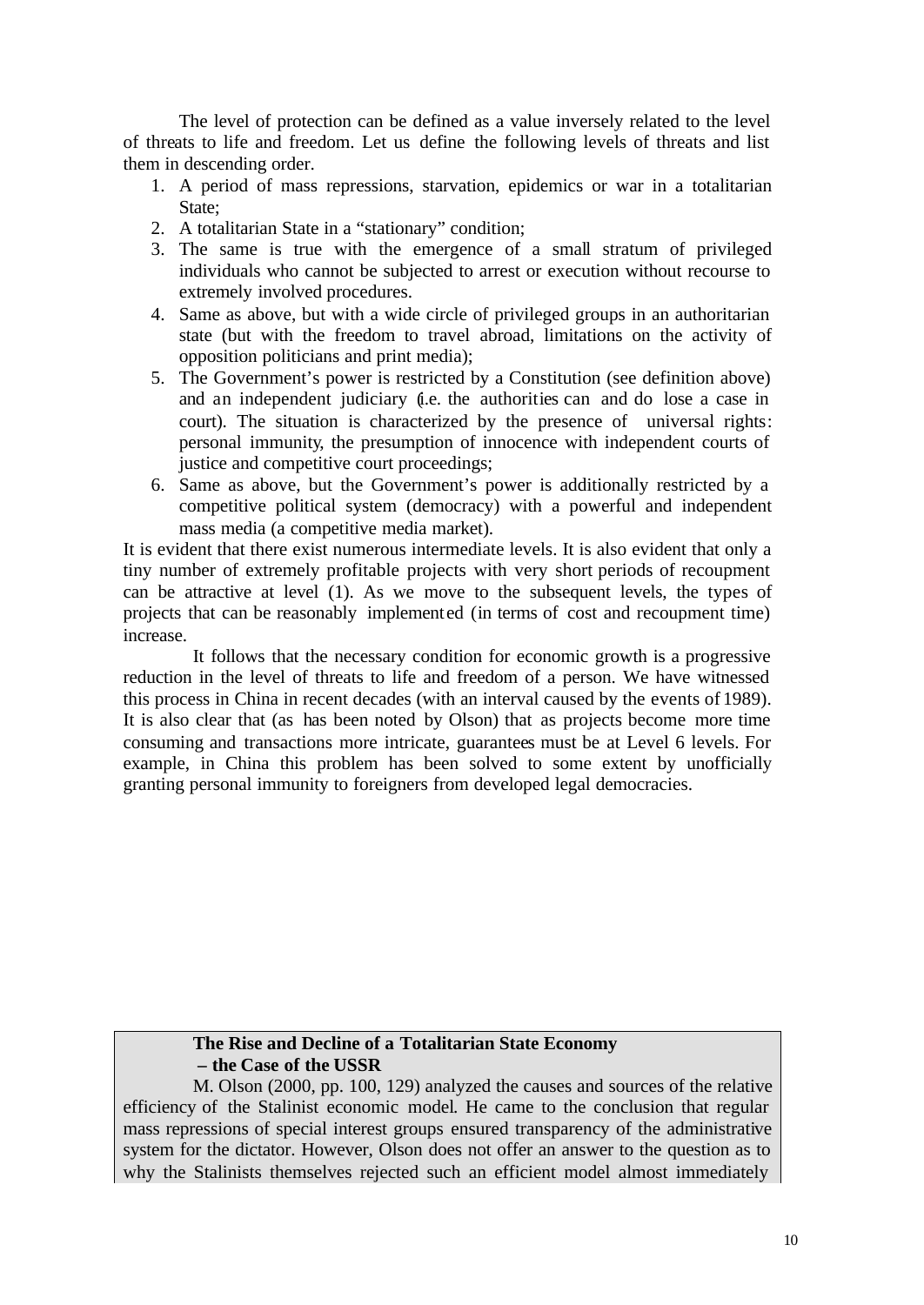The level of protection can be defined as a value inversely related to the level of threats to life and freedom. Let us define the following levels of threats and list them in descending order.

- 1. A period of mass repressions, starvation, epidemics or war in a totalitarian State:
- 2. A totalitarian State in a "stationary" condition;
- 3. The same is true with the emergence of a small stratum of privileged individuals who cannot be subjected to arrest or execution without recourse to extremely involved procedures.
- 4. Same as above, but with a wide circle of privileged groups in an authoritarian state (but with the freedom to travel abroad, limitations on the activity of opposition politicians and print media);
- 5. The Government's power is restricted by a Constitution (see definition above) and an independent judiciary (i.e. the authorities can and do lose a case in court). The situation is characterized by the presence of universal rights: personal immunity, the presumption of innocence with independent courts of justice and competitive court proceedings;
- 6. Same as above, but the Government's power is additionally restricted by a competitive political system (democracy) with a powerful and independent mass media (a competitive media market).

It is evident that there exist numerous intermediate levels. It is also evident that only a tiny number of extremely profitable projects with very short periods of recoupment can be attractive at level (1). As we move to the subsequent levels, the types of projects that can be reasonably implemented (in terms of cost and recoupment time) increase.

It follows that the necessary condition for economic growth is a progressive reduction in the level of threats to life and freedom of a person. We have witnessed this process in China in recent decades (with an interval caused by the events of 1989). It is also clear that (as has been noted by Olson) that as projects become more time consuming and transactions more intricate, guarantees must be at Level 6 levels. For example, in China this problem has been solved to some extent by unofficially granting personal immunity to foreigners from developed legal democracies.

# **The Rise and Decline of a Totalitarian State Economy – the Case of the USSR**

M. Olson (2000, pp. 100, 129) analyzed the causes and sources of the relative efficiency of the Stalinist economic model. He came to the conclusion that regular mass repressions of special interest groups ensured transparency of the administrative system for the dictator. However, Olson does not offer an answer to the question as to why the Stalinists themselves rejected such an efficient model almost immediately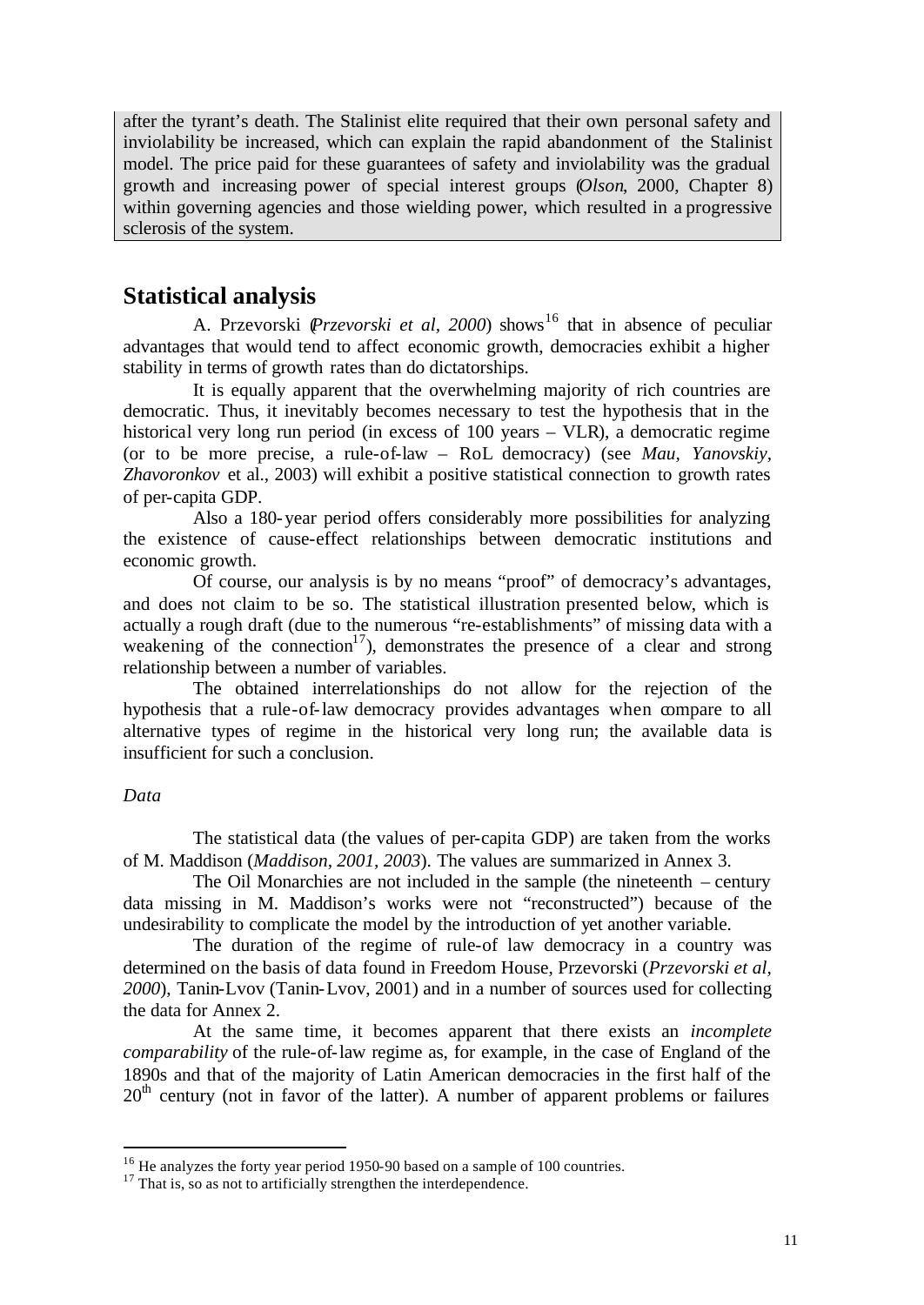after the tyrant's death. The Stalinist elite required that their own personal safety and inviolability be increased, which can explain the rapid abandonment of the Stalinist model. The price paid for these guarantees of safety and inviolability was the gradual growth and increasing power of special interest groups (*Olson*, 2000, Chapter 8) within governing agencies and those wielding power, which resulted in a progressive sclerosis of the system.

# **Statistical analysis**

A. Przevorski (*Przevorski et al, 2000*) shows<sup>16</sup> that in absence of peculiar advantages that would tend to affect economic growth, democracies exhibit a higher stability in terms of growth rates than do dictatorships.

It is equally apparent that the overwhelming majority of rich countries are democratic. Thus, it inevitably becomes necessary to test the hypothesis that in the historical very long run period (in excess of 100 years – VLR), a democratic regime (or to be more precise, a rule-of-law – RoL democracy) (see *Mau, Yanovskiy, Zhavoronkov* et al., 2003) will exhibit a positive statistical connection to growth rates of per-capita GDP.

Also a 180-year period offers considerably more possibilities for analyzing the existence of cause-effect relationships between democratic institutions and economic growth.

Of course, our analysis is by no means "proof" of democracy's advantages, and does not claim to be so. The statistical illustration presented below, which is actually a rough draft (due to the numerous "re-establishments" of missing data with a weakening of the connection<sup>17</sup>), demonstrates the presence of a clear and strong relationship between a number of variables.

The obtained interrelationships do not allow for the rejection of the hypothesis that a rule-of-law democracy provides advantages when compare to all alternative types of regime in the historical very long run; the available data is insufficient for such a conclusion.

### *Data*

l

The statistical data (the values of per-capita GDP) are taken from the works of M. Maddison (*Maddison, 2001, 2003*). The values are summarized in Annex 3.

The Oil Monarchies are not included in the sample (the nineteenth – century data missing in M. Maddison's works were not "reconstructed") because of the undesirability to complicate the model by the introduction of yet another variable.

The duration of the regime of rule-of law democracy in a country was determined on the basis of data found in Freedom House, Przevorski (*Przevorski et al, 2000*), Tanin-Lvov (Tanin-Lvov, 2001) and in a number of sources used for collecting the data for Annex 2.

At the same time, it becomes apparent that there exists an *incomplete comparability* of the rule-of-law regime as, for example, in the case of England of the 1890s and that of the majority of Latin American democracies in the first half of the  $20<sup>th</sup>$  century (not in favor of the latter). A number of apparent problems or failures

<sup>&</sup>lt;sup>16</sup> He analyzes the forty year period 1950-90 based on a sample of 100 countries.

<sup>&</sup>lt;sup>17</sup> That is, so as not to artificially strengthen the interdependence.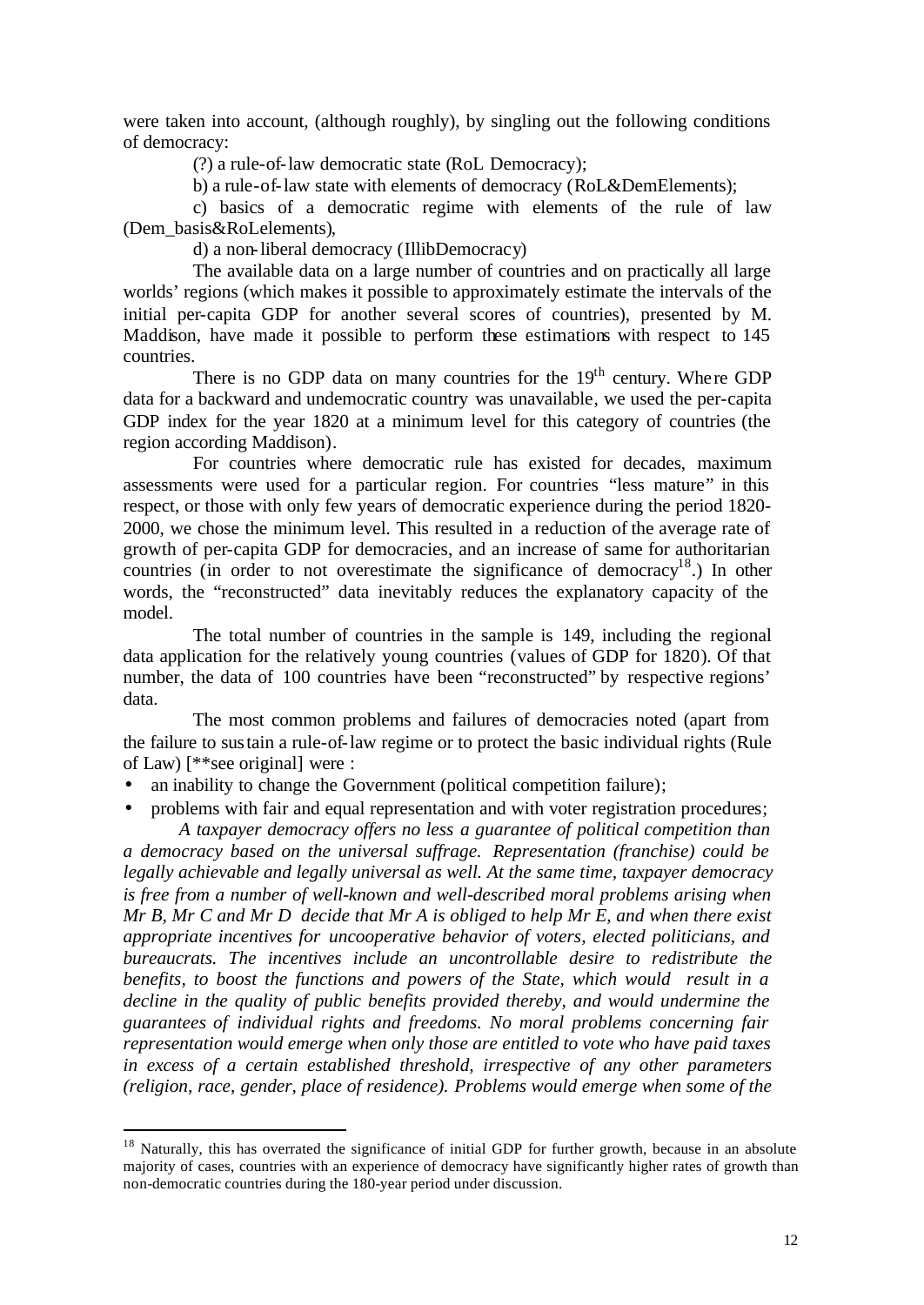were taken into account, (although roughly), by singling out the following conditions of democracy:

(?) a rule-of-law democratic state (RoL Democracy);

b) a rule-of-law state with elements of democracy (RoL&DemElements);

c) basics of a democratic regime with elements of the rule of law (Dem\_basis&RoLelements),

d) a non-liberal democracy (IllibDemocracy)

The available data on a large number of countries and on practically all large worlds' regions (which makes it possible to approximately estimate the intervals of the initial per-capita GDP for another several scores of countries), presented by M. Maddison, have made it possible to perform these estimations with respect to 145 countries.

There is no GDP data on many countries for the  $19<sup>th</sup>$  century. Where GDP data for a backward and undemocratic country was unavailable, we used the per-capita GDP index for the year 1820 at a minimum level for this category of countries (the region according Maddison).

For countries where democratic rule has existed for decades, maximum assessments were used for a particular region. For countries "less mature" in this respect, or those with only few years of democratic experience during the period 1820- 2000, we chose the minimum level. This resulted in a reduction of the average rate of growth of per-capita GDP for democracies, and an increase of same for authoritarian countries (in order to not overestimate the significance of democracy<sup>18</sup>.) In other words, the "reconstructed" data inevitably reduces the explanatory capacity of the model.

The total number of countries in the sample is 149, including the regional data application for the relatively young countries (values of GDP for 1820). Of that number, the data of 100 countries have been "reconstructed" by respective regions' data.

The most common problems and failures of democracies noted (apart from the failure to sustain a rule-of-law regime or to protect the basic individual rights (Rule of Law) [\*\*see original] were :

an inability to change the Government (political competition failure);

l

• problems with fair and equal representation and with voter registration procedures; *A taxpayer democracy offers no less a guarantee of political competition than* 

*a democracy based on the universal suffrage. Representation (franchise) could be legally achievable and legally universal as well. At the same time, taxpayer democracy is free from a number of well-known and well-described moral problems arising when Mr B, Mr C and Mr D decide that Mr A is obliged to help Mr E, and when there exist appropriate incentives for uncooperative behavior of voters, elected politicians, and bureaucrats. The incentives include an uncontrollable desire to redistribute the benefits, to boost the functions and powers of the State, which would result in a decline in the quality of public benefits provided thereby, and would undermine the guarantees of individual rights and freedoms. No moral problems concerning fair representation would emerge when only those are entitled to vote who have paid taxes in excess of a certain established threshold, irrespective of any other parameters (religion, race, gender, place of residence). Problems would emerge when some of the* 

<sup>&</sup>lt;sup>18</sup> Naturally, this has overrated the significance of initial GDP for further growth, because in an absolute majority of cases, countries with an experience of democracy have significantly higher rates of growth than non-democratic countries during the 180-year period under discussion.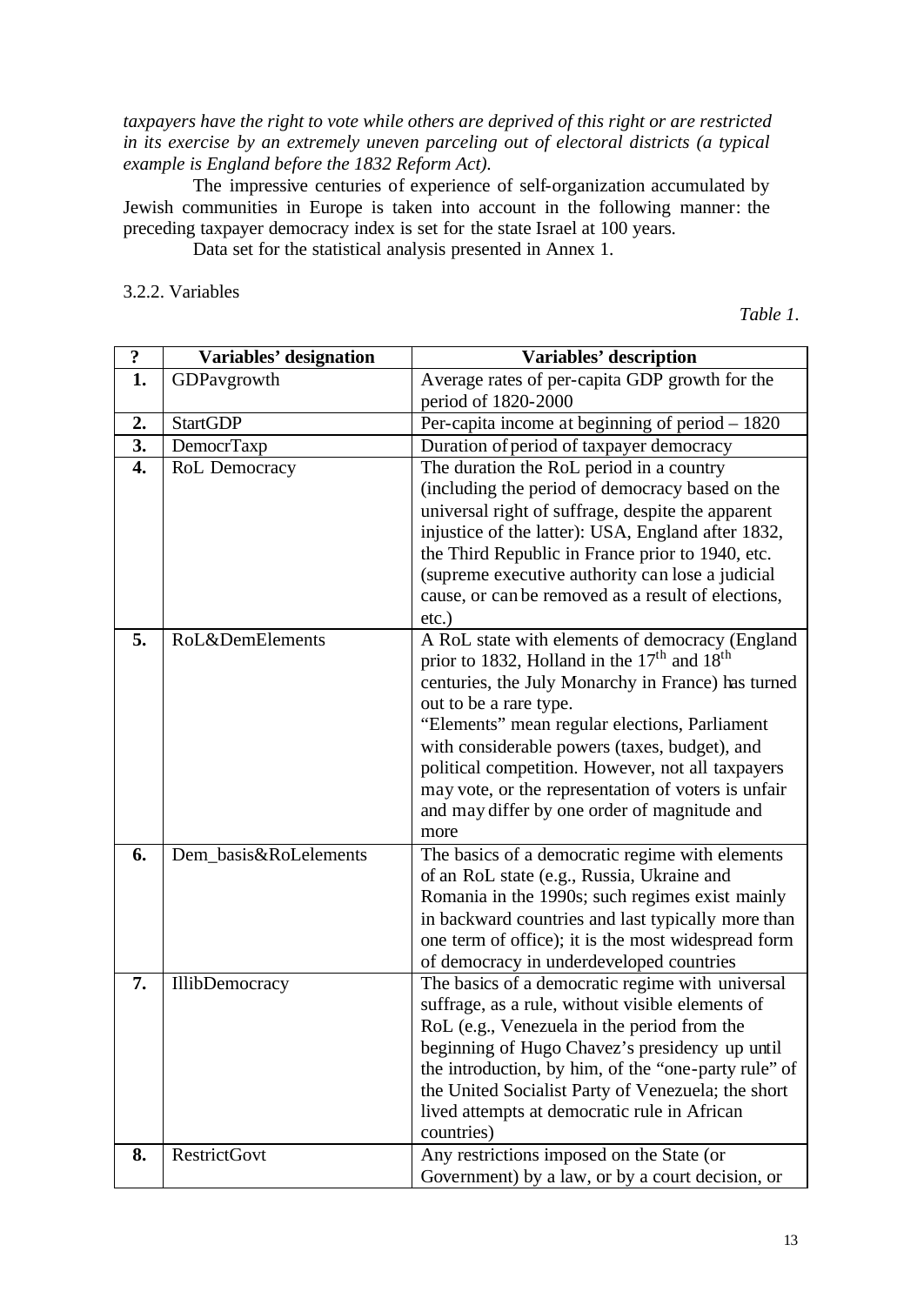*taxpayers have the right to vote while others are deprived of this right or are restricted in its exercise by an extremely uneven parceling out of electoral districts (a typical example is England before the 1832 Reform Act).* 

The impressive centuries of experience of self-organization accumulated by Jewish communities in Europe is taken into account in the following manner: the preceding taxpayer democracy index is set for the state Israel at 100 years.

Data set for the statistical analysis presented in Annex 1.

3.2.2. Variables

*Table 1.*

| $\ddot{\cdot}$   | Variables' designation | Variables' description                                                                             |  |  |  |  |
|------------------|------------------------|----------------------------------------------------------------------------------------------------|--|--|--|--|
| 1.               | GDPavgrowth            | Average rates of per-capita GDP growth for the                                                     |  |  |  |  |
|                  |                        | period of 1820-2000                                                                                |  |  |  |  |
| 2.               | <b>StartGDP</b>        | Per-capita income at beginning of period $-1820$                                                   |  |  |  |  |
| 3.               | DemocrTaxp             | Duration of period of taxpayer democracy                                                           |  |  |  |  |
| $\overline{4}$ . | RoL Democracy          | The duration the RoL period in a country                                                           |  |  |  |  |
|                  |                        | (including the period of democracy based on the                                                    |  |  |  |  |
|                  |                        | universal right of suffrage, despite the apparent                                                  |  |  |  |  |
|                  |                        | injustice of the latter): USA, England after 1832,                                                 |  |  |  |  |
|                  |                        | the Third Republic in France prior to 1940, etc.                                                   |  |  |  |  |
|                  |                        | (supreme executive authority can lose a judicial                                                   |  |  |  |  |
|                  |                        | cause, or can be removed as a result of elections,                                                 |  |  |  |  |
|                  |                        | $etc.$ )                                                                                           |  |  |  |  |
| 5.               | RoL&DemElements        | A RoL state with elements of democracy (England                                                    |  |  |  |  |
|                  |                        | prior to 1832, Holland in the 17 <sup>th</sup> and 18 <sup>th</sup>                                |  |  |  |  |
|                  |                        | centuries, the July Monarchy in France) has turned                                                 |  |  |  |  |
|                  |                        | out to be a rare type.                                                                             |  |  |  |  |
|                  |                        | "Elements" mean regular elections, Parliament                                                      |  |  |  |  |
|                  |                        | with considerable powers (taxes, budget), and<br>political competition. However, not all taxpayers |  |  |  |  |
|                  |                        | may vote, or the representation of voters is unfair                                                |  |  |  |  |
|                  |                        | and may differ by one order of magnitude and                                                       |  |  |  |  |
|                  |                        | more                                                                                               |  |  |  |  |
| 6.               | Dem_basis&RoLelements  | The basics of a democratic regime with elements                                                    |  |  |  |  |
|                  |                        | of an RoL state (e.g., Russia, Ukraine and                                                         |  |  |  |  |
|                  |                        | Romania in the 1990s; such regimes exist mainly                                                    |  |  |  |  |
|                  |                        | in backward countries and last typically more than                                                 |  |  |  |  |
|                  |                        | one term of office); it is the most widespread form                                                |  |  |  |  |
|                  |                        | of democracy in underdeveloped countries                                                           |  |  |  |  |
| 7.               | <b>IllibDemocracy</b>  | The basics of a democratic regime with universal                                                   |  |  |  |  |
|                  |                        | suffrage, as a rule, without visible elements of                                                   |  |  |  |  |
|                  |                        | RoL (e.g., Venezuela in the period from the                                                        |  |  |  |  |
|                  |                        | beginning of Hugo Chavez's presidency up until                                                     |  |  |  |  |
|                  |                        | the introduction, by him, of the "one-party rule" of                                               |  |  |  |  |
|                  |                        | the United Socialist Party of Venezuela; the short                                                 |  |  |  |  |
|                  |                        | lived attempts at democratic rule in African                                                       |  |  |  |  |
|                  |                        | countries)                                                                                         |  |  |  |  |
| 8.               | <b>RestrictGovt</b>    | Any restrictions imposed on the State (or                                                          |  |  |  |  |
|                  |                        | Government) by a law, or by a court decision, or                                                   |  |  |  |  |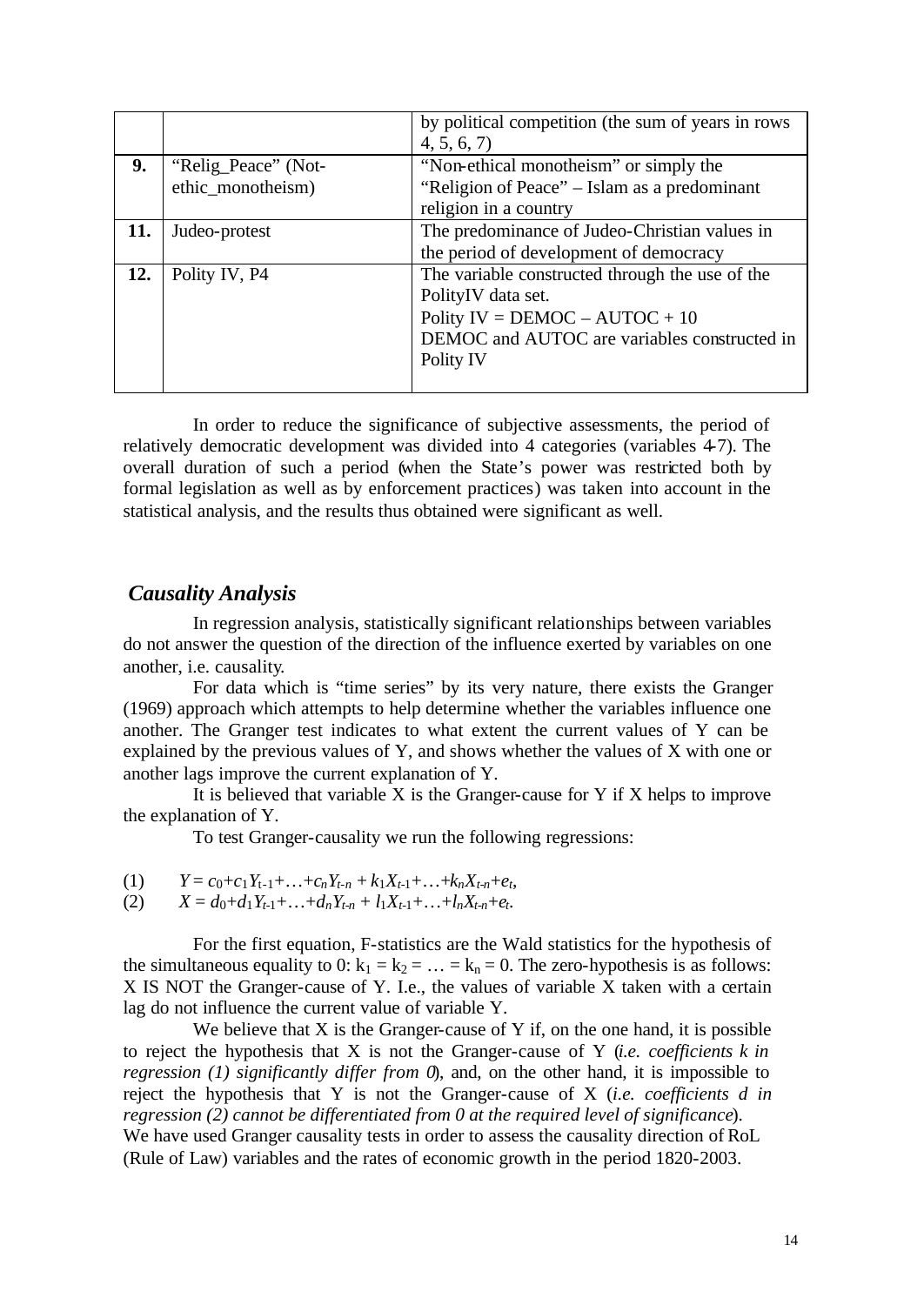|     |                     | by political competition (the sum of years in rows |  |  |  |
|-----|---------------------|----------------------------------------------------|--|--|--|
|     |                     | 4, 5, 6, 7                                         |  |  |  |
| 9.  | "Relig_Peace" (Not- | "Non-ethical monotheism" or simply the             |  |  |  |
|     | ethic_monotheism)   | "Religion of Peace" – Islam as a predominant       |  |  |  |
|     |                     | religion in a country                              |  |  |  |
| 11. | Judeo-protest       | The predominance of Judeo-Christian values in      |  |  |  |
|     |                     | the period of development of democracy             |  |  |  |
| 12. | Polity IV, P4       | The variable constructed through the use of the    |  |  |  |
|     |                     | PolityIV data set.                                 |  |  |  |
|     |                     | Polity IV = $DEMOC - AUTOC + 10$                   |  |  |  |
|     |                     | DEMOC and AUTOC are variables constructed in       |  |  |  |
|     |                     | Polity IV                                          |  |  |  |
|     |                     |                                                    |  |  |  |

In order to reduce the significance of subjective assessments, the period of relatively democratic development was divided into 4 categories (variables 4-7). The overall duration of such a period (when the State's power was restricted both by formal legislation as well as by enforcement practices) was taken into account in the statistical analysis, and the results thus obtained were significant as well.

# *Causality Analysis*

In regression analysis, statistically significant relationships between variables do not answer the question of the direction of the influence exerted by variables on one another, i.e. causality.

For data which is "time series" by its very nature, there exists the Granger (1969) approach which attempts to help determine whether the variables influence one another. The Granger test indicates to what extent the current values of Y can be explained by the previous values of Y, and shows whether the values of X with one or another lags improve the current explanation of Y.

It is believed that variable  $X$  is the Granger-cause for  $Y$  if  $X$  helps to improve the explanation of Y.

To test Granger-causality we run the following regressions:

- (1)  $Y = c_0 + c_1 Y_{t-1} + \ldots + c_n Y_{t-n} + k_1 X_{t-1} + \ldots + k_n X_{t-n} + e_t$
- $(X = d_0 + d_1 Y_{t-1} + \ldots + d_n Y_{t-n} + l_1 X_{t-1} + \ldots + l_n X_{t-n} + e_t$ .

For the first equation, F-statistics are the Wald statistics for the hypothesis of the simultaneous equality to 0:  $k_1 = k_2 = ... = k_n = 0$ . The zero-hypothesis is as follows: X IS NOT the Granger-cause of Y. I.e., the values of variable X taken with a certain lag do not influence the current value of variable Y.

We believe that  $X$  is the Granger-cause of  $Y$  if, on the one hand, it is possible to reject the hypothesis that X is not the Granger-cause of Y (*i.e. coefficients k in regression (1) significantly differ from 0*), and, on the other hand, it is impossible to reject the hypothesis that Y is not the Granger-cause of X (*i.e. coefficients d in regression (2) cannot be differentiated from 0 at the required level of significance*). We have used Granger causality tests in order to assess the causality direction of RoL (Rule of Law) variables and the rates of economic growth in the period 1820-2003.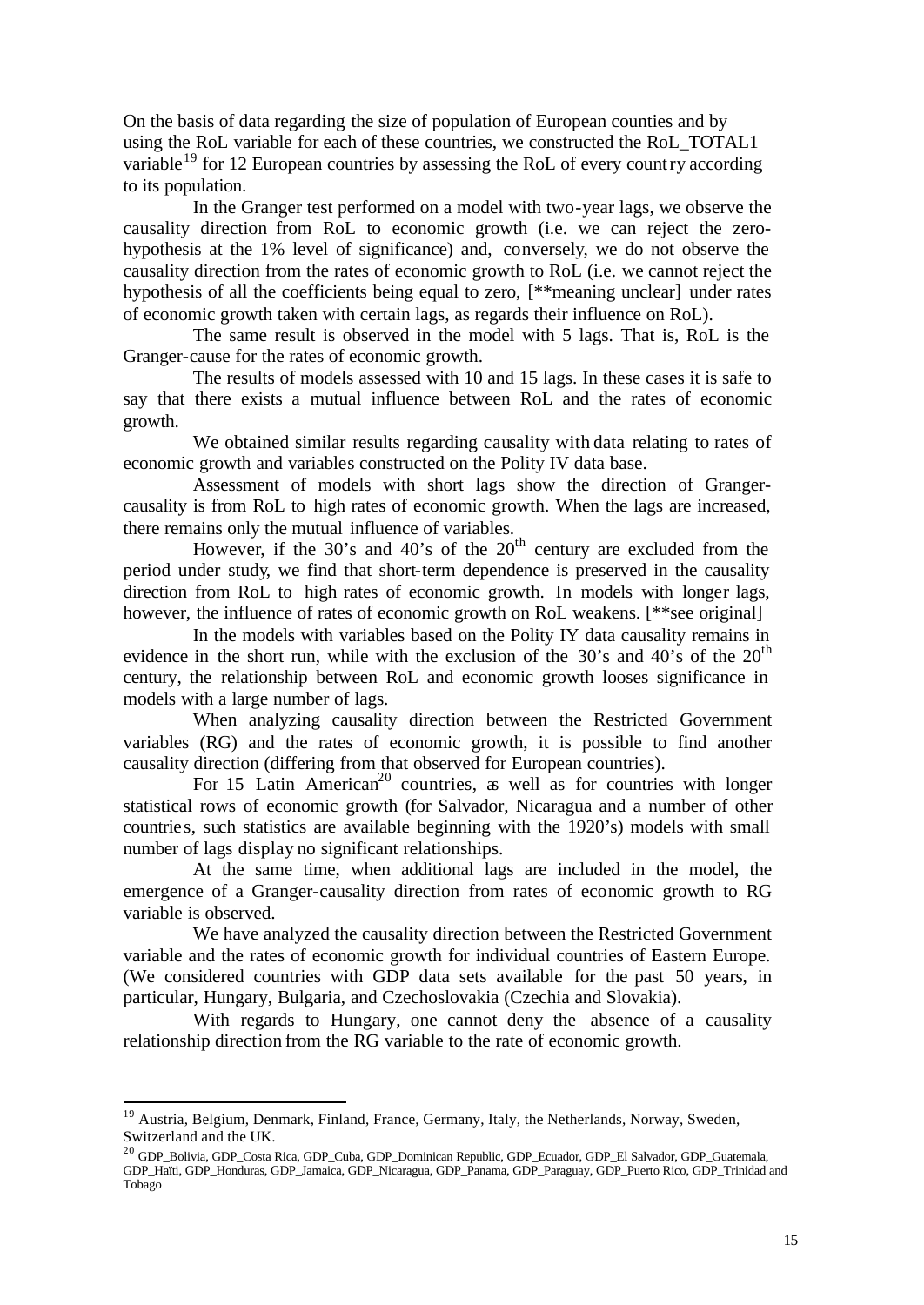On the basis of data regarding the size of population of European counties and by using the RoL variable for each of these countries, we constructed the RoL\_TOTAL1 variable<sup>19</sup> for 12 European countries by assessing the RoL of every country according to its population.

In the Granger test performed on a model with two-year lags, we observe the causality direction from RoL to economic growth (i.e. we can reject the zerohypothesis at the 1% level of significance) and, conversely, we do not observe the causality direction from the rates of economic growth to RoL (i.e. we cannot reject the hypothesis of all the coefficients being equal to zero, [\*\*meaning unclear] under rates of economic growth taken with certain lags, as regards their influence on RoL).

The same result is observed in the model with 5 lags. That is, RoL is the Granger-cause for the rates of economic growth.

The results of models assessed with 10 and 15 lags. In these cases it is safe to say that there exists a mutual influence between RoL and the rates of economic growth.

We obtained similar results regarding causality with data relating to rates of economic growth and variables constructed on the Polity IV data base.

Assessment of models with short lags show the direction of Grangercausality is from RoL to high rates of economic growth. When the lags are increased, there remains only the mutual influence of variables.

However, if the  $30^{\circ}$ s and  $40^{\circ}$ s of the  $20^{\text{th}}$  century are excluded from the period under study, we find that short-term dependence is preserved in the causality direction from RoL to high rates of economic growth. In models with longer lags, however, the influence of rates of economic growth on RoL weakens. [\*\*see original]

In the models with variables based on the Polity IY data causality remains in evidence in the short run, while with the exclusion of the 30's and 40's of the  $20<sup>th</sup>$ century, the relationship between RoL and economic growth looses significance in models with a large number of lags.

When analyzing causality direction between the Restricted Government variables (RG) and the rates of economic growth, it is possible to find another causality direction (differing from that observed for European countries).

For 15 Latin American<sup>20</sup> countries, as well as for countries with longer statistical rows of economic growth (for Salvador, Nicaragua and a number of other countries, such statistics are available beginning with the 1920's) models with small number of lags display no significant relationships.

At the same time, when additional lags are included in the model, the emergence of a Granger-causality direction from rates of economic growth to RG variable is observed.

We have analyzed the causality direction between the Restricted Government variable and the rates of economic growth for individual countries of Eastern Europe. (We considered countries with GDP data sets available for the past 50 years, in particular, Hungary, Bulgaria, and Czechoslovakia (Czechia and Slovakia).

With regards to Hungary, one cannot deny the absence of a causality relationship direction from the RG variable to the rate of economic growth.

<sup>&</sup>lt;sup>19</sup> Austria, Belgium, Denmark, Finland, France, Germany, Italy, the Netherlands, Norway, Sweden, Switzerland and the UK.

<sup>20</sup> GDP\_Bolivia, GDP\_Costa Rica, GDP\_Cuba, GDP\_Dominican Republic, GDP\_Ecuador, GDP\_El Salvador, GDP\_Guatemala, GDP\_Haïti, GDP\_Honduras, GDP\_Jamaica, GDP\_Nicaragua, GDP\_Panama, GDP\_Paraguay, GDP\_Puerto Rico, GDP\_Trinidad and Tobago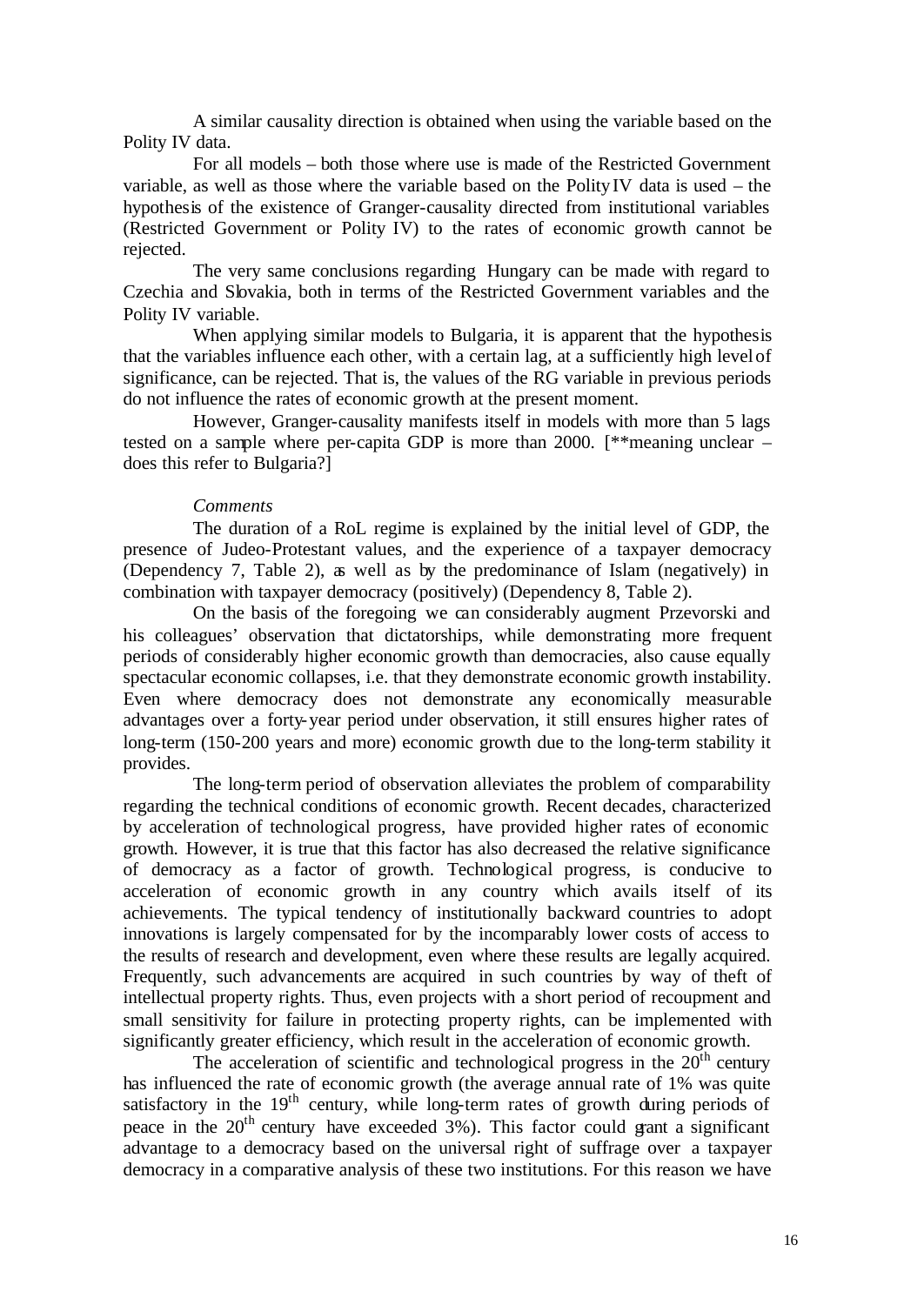A similar causality direction is obtained when using the variable based on the Polity IV data.

For all models – both those where use is made of the Restricted Government variable, as well as those where the variable based on the Polity IV data is used – the hypothesis of the existence of Granger-causality directed from institutional variables (Restricted Government or Polity IV) to the rates of economic growth cannot be rejected.

The very same conclusions regarding Hungary can be made with regard to Czechia and Slovakia, both in terms of the Restricted Government variables and the Polity IV variable.

When applying similar models to Bulgaria, it is apparent that the hypothesis that the variables influence each other, with a certain lag, at a sufficiently high level of significance, can be rejected. That is, the values of the RG variable in previous periods do not influence the rates of economic growth at the present moment.

However, Granger-causality manifests itself in models with more than 5 lags tested on a sample where per-capita GDP is more than 2000. [\*\*meaning unclear – does this refer to Bulgaria?]

## *Comments*

The duration of a RoL regime is explained by the initial level of GDP, the presence of Judeo-Protestant values, and the experience of a taxpayer democracy (Dependency 7, Table 2), as well as by the predominance of Islam (negatively) in combination with taxpayer democracy (positively) (Dependency 8, Table 2).

On the basis of the foregoing we can considerably augment Przevorski and his colleagues' observation that dictatorships, while demonstrating more frequent periods of considerably higher economic growth than democracies, also cause equally spectacular economic collapses, i.e. that they demonstrate economic growth instability. Even where democracy does not demonstrate any economically measurable advantages over a forty-year period under observation, it still ensures higher rates of long-term (150-200 years and more) economic growth due to the long-term stability it provides.

The long-term period of observation alleviates the problem of comparability regarding the technical conditions of economic growth. Recent decades, characterized by acceleration of technological progress, have provided higher rates of economic growth. However, it is true that this factor has also decreased the relative significance of democracy as a factor of growth. Technological progress, is conducive to acceleration of economic growth in any country which avails itself of its achievements. The typical tendency of institutionally backward countries to adopt innovations is largely compensated for by the incomparably lower costs of access to the results of research and development, even where these results are legally acquired. Frequently, such advancements are acquired in such countries by way of theft of intellectual property rights. Thus, even projects with a short period of recoupment and small sensitivity for failure in protecting property rights, can be implemented with significantly greater efficiency, which result in the acceleration of economic growth.

The acceleration of scientific and technological progress in the  $20<sup>th</sup>$  century has influenced the rate of economic growth (the average annual rate of 1% was quite satisfactory in the  $19<sup>th</sup>$  century, while long-term rates of growth during periods of peace in the  $20<sup>th</sup>$  century have exceeded  $3%$ ). This factor could grant a significant advantage to a democracy based on the universal right of suffrage over a taxpayer democracy in a comparative analysis of these two institutions. For this reason we have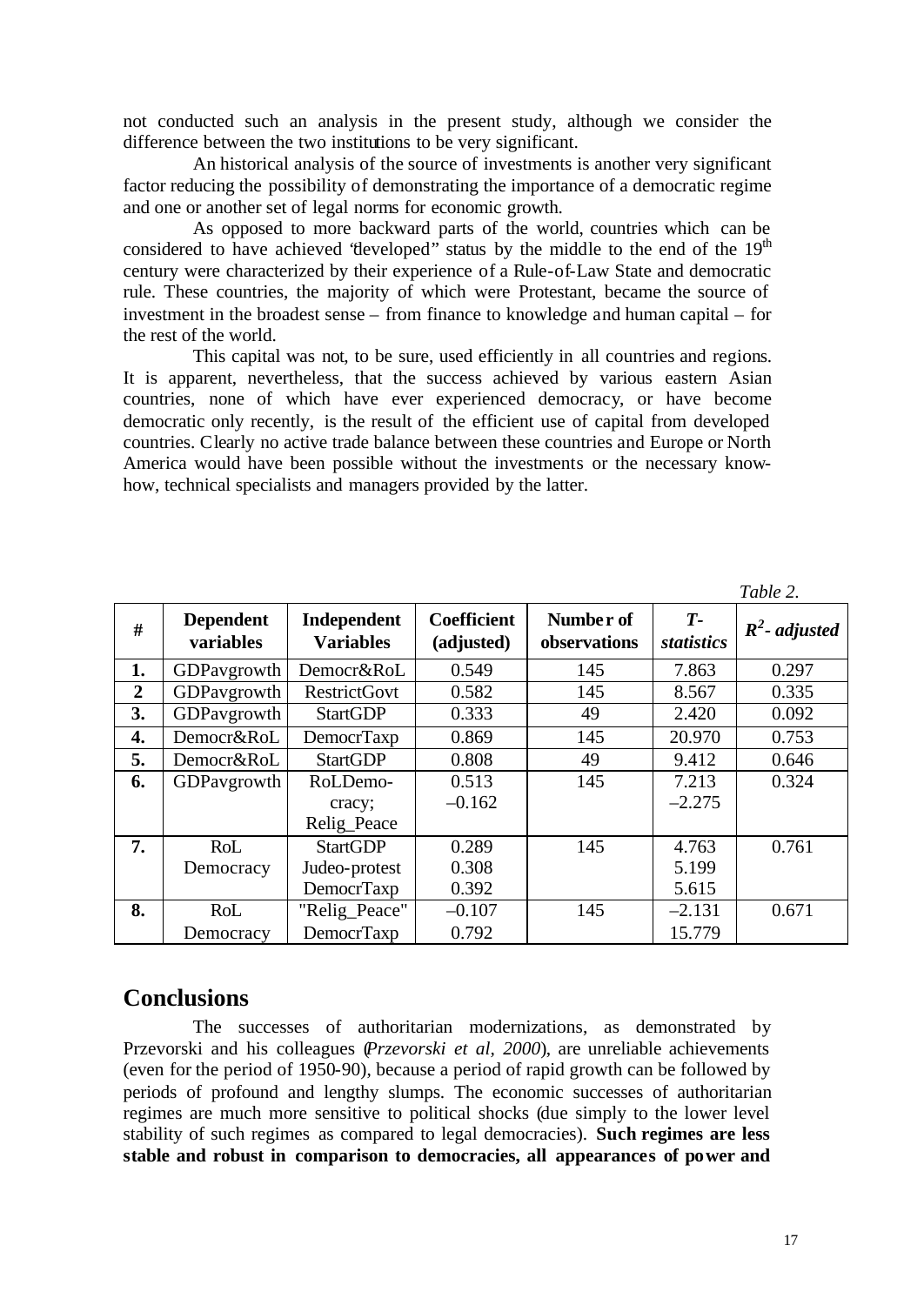not conducted such an analysis in the present study, although we consider the difference between the two institutions to be very significant.

An historical analysis of the source of investments is another very significant factor reducing the possibility of demonstrating the importance of a democratic regime and one or another set of legal norms for economic growth.

As opposed to more backward parts of the world, countries which can be considered to have achieved 'developed' status by the middle to the end of the  $19<sup>th</sup>$ century were characterized by their experience of a Rule-of-Law State and democratic rule. These countries, the majority of which were Protestant, became the source of investment in the broadest sense – from finance to knowledge and human capital – for the rest of the world.

This capital was not, to be sure, used efficiently in all countries and regions. It is apparent, nevertheless, that the success achieved by various eastern Asian countries, none of which have ever experienced democracy, or have become democratic only recently, is the result of the efficient use of capital from developed countries. Clearly no active trade balance between these countries and Europe or North America would have been possible without the investments or the necessary knowhow, technical specialists and managers provided by the latter.

|                  |                               |                                 |                                  |                           |                    | 1 avie 2.        |
|------------------|-------------------------------|---------------------------------|----------------------------------|---------------------------|--------------------|------------------|
| #                | <b>Dependent</b><br>variables | Independent<br><b>Variables</b> | <b>Coefficient</b><br>(adjusted) | Number of<br>observations | $T-$<br>statistics | $R^2$ - adjusted |
| 1.               | GDPavgrowth                   | Democr&RoL                      | 0.549                            | 145                       | 7.863              | 0.297            |
| $\boldsymbol{2}$ | GDPavgrowth                   | <b>RestrictGovt</b>             | 0.582                            | 145                       | 8.567              | 0.335            |
| 3.               | GDPavgrowth                   | <b>StartGDP</b>                 | 0.333                            | 49                        | 2.420              | 0.092            |
| 4.               | Democr&RoL                    | <b>DemocrTaxp</b>               | 0.869                            | 145                       | 20.970             | 0.753            |
| 5.               | Democr&RoL                    | <b>StartGDP</b>                 | 0.808                            | 49                        | 9.412              | 0.646            |
| 6.               | GDPavgrowth                   | RoLDemo-                        | 0.513                            | 145                       | 7.213              | 0.324            |
|                  |                               | cracy;                          | $-0.162$                         |                           | $-2.275$           |                  |
|                  |                               | Relig_Peace                     |                                  |                           |                    |                  |
| 7.               | RoL                           | <b>StartGDP</b>                 | 0.289                            | 145                       | 4.763              | 0.761            |
|                  | Democracy                     | Judeo-protest                   | 0.308                            |                           | 5.199              |                  |
|                  |                               | <b>DemocrTaxp</b>               | 0.392                            |                           | 5.615              |                  |
| 8.               | RoL                           | "Relig_Peace"                   | $-0.107$                         | 145                       | $-2.131$           | 0.671            |
|                  | Democracy                     | <b>DemocrTaxp</b>               | 0.792                            |                           | 15.779             |                  |

#### *Table 2.*

# **Conclusions**

The successes of authoritarian modernizations, as demonstrated by Przevorski and his colleagues (*Przevorski et al, 2000*), are unreliable achievements (even for the period of 1950-90), because a period of rapid growth can be followed by periods of profound and lengthy slumps. The economic successes of authoritarian regimes are much more sensitive to political shocks (due simply to the lower level stability of such regimes as compared to legal democracies). **Such regimes are less stable and robust in comparison to democracies, all appearances of power and**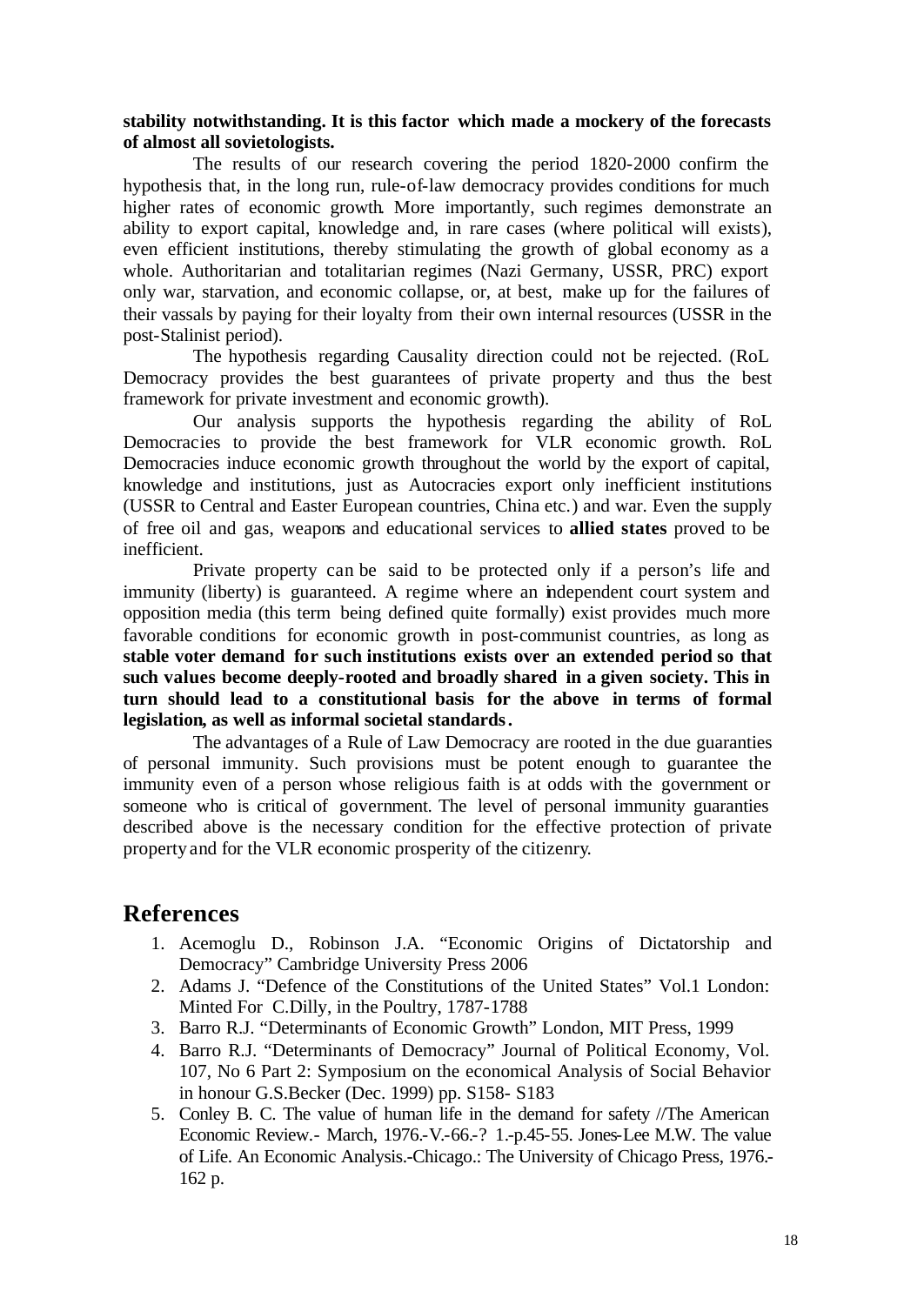## **stability notwithstanding. It is this factor which made a mockery of the forecasts of almost all sovietologists.**

The results of our research covering the period 1820-2000 confirm the hypothesis that, in the long run, rule-of-law democracy provides conditions for much higher rates of economic growth. More importantly, such regimes demonstrate an ability to export capital, knowledge and, in rare cases (where political will exists), even efficient institutions, thereby stimulating the growth of global economy as a whole. Authoritarian and totalitarian regimes (Nazi Germany, USSR, PRC) export only war, starvation, and economic collapse, or, at best, make up for the failures of their vassals by paying for their loyalty from their own internal resources (USSR in the post-Stalinist period).

The hypothesis regarding Causality direction could not be rejected. (RoL Democracy provides the best guarantees of private property and thus the best framework for private investment and economic growth).

Our analysis supports the hypothesis regarding the ability of RoL Democracies to provide the best framework for VLR economic growth. RoL Democracies induce economic growth throughout the world by the export of capital, knowledge and institutions, just as Autocracies export only inefficient institutions (USSR to Central and Easter European countries, China etc.) and war. Even the supply of free oil and gas, weapons and educational services to **allied states** proved to be inefficient.

Private property can be said to be protected only if a person's life and immunity (liberty) is guaranteed. A regime where an independent court system and opposition media (this term being defined quite formally) exist provides much more favorable conditions for economic growth in post-communist countries, as long as **stable voter demand for such institutions exists over an extended period so that such values become deeply-rooted and broadly shared in a given society. This in turn should lead to a constitutional basis for the above in terms of formal legislation, as well as informal societal standards.**

The advantages of a Rule of Law Democracy are rooted in the due guaranties of personal immunity. Such provisions must be potent enough to guarantee the immunity even of a person whose religious faith is at odds with the government or someone who is critical of government. The level of personal immunity guaranties described above is the necessary condition for the effective protection of private property and for the VLR economic prosperity of the citizenry.

# **References**

- 1. Acemoglu D., Robinson J.A. "Economic Origins of Dictatorship and Democracy" Cambridge University Press 2006
- 2. Adams J. "Defence of the Constitutions of the United States" Vol.1 London: Minted For C.Dilly, in the Poultry, 1787-1788
- 3. Barro R.J. "Determinants of Economic Growth" London, MIT Press, 1999
- 4. Barro R.J. "Determinants of Democracy" Journal of Political Economy, Vol. 107, No 6 Part 2: Symposium on the economical Analysis of Social Behavior in honour G.S.Becker (Dec. 1999) pp. S158- S183
- 5. Conley B. C. The value of human life in the demand for safety //The American Economic Review.- March, 1976.-V.-66.-? 1.-p.45-55. Jones-Lee M.W. The value of Life. An Economic Analysis.-Chicago.: The University of Chicago Press, 1976.- 162 p.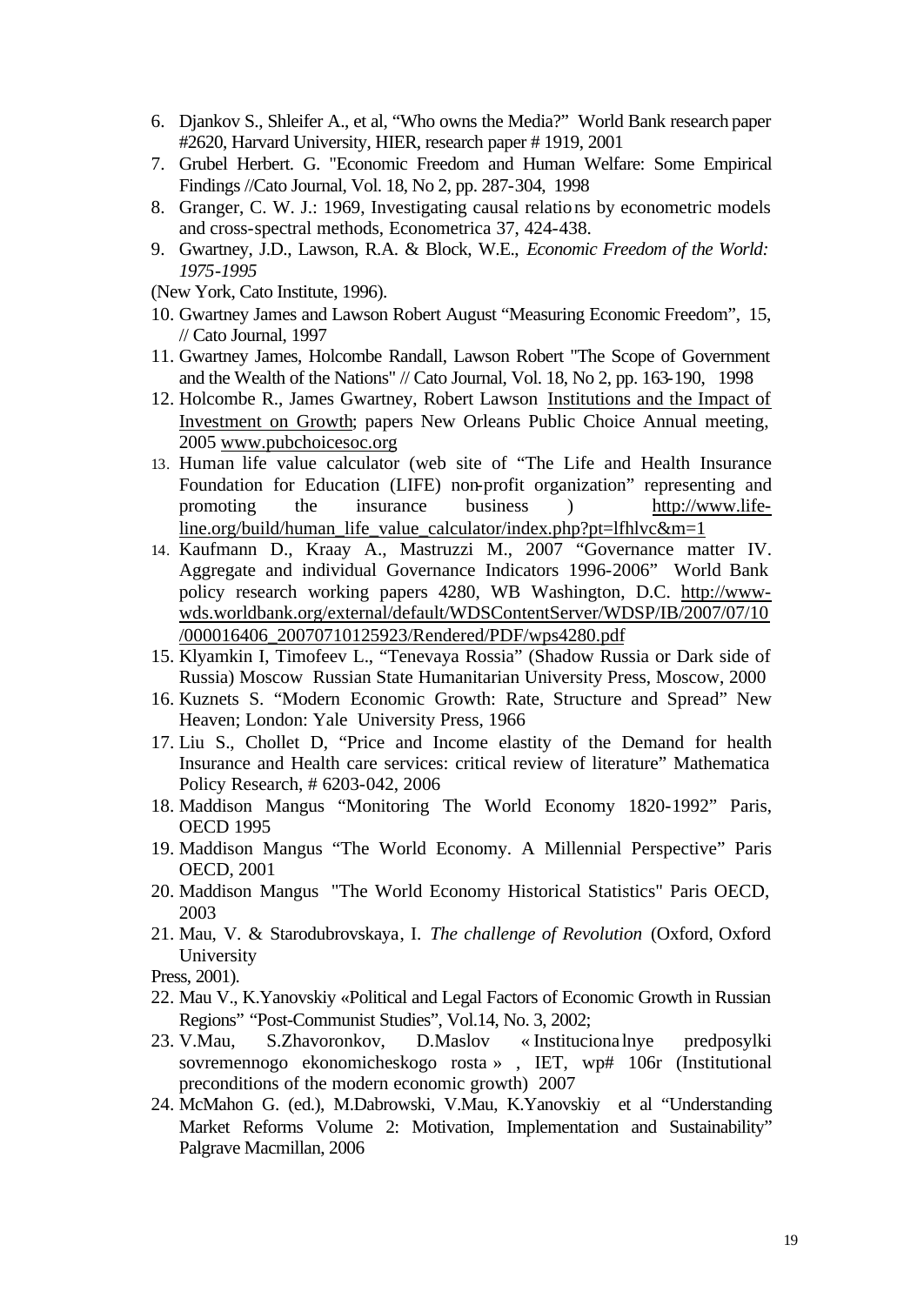- 6. Djankov S., Shleifer A., et al, "Who owns the Media?" World Bank research paper #2620, Harvard University, HIER, research paper # 1919, 2001
- 7. Grubel Herbert. G. "Economic Freedom and Human Welfare: Some Empirical Findings //Cato Journal, Vol. 18, No 2, pp. 287-304, 1998
- 8. Granger, C. W. J.: 1969, Investigating causal relations by econometric models and cross-spectral methods, Econometrica 37, 424-438.
- 9. Gwartney, J.D., Lawson, R.A. & Block, W.E., *Economic Freedom of the World: 1975-1995*
- (New York, Cato Institute, 1996).
- 10. Gwartney James and Lawson Robert August "Measuring Economic Freedom", 15, // Cato Journal, 1997
- 11. Gwartney James, Holcombe Randall, Lawson Robert "The Scope of Government and the Wealth of the Nations" // Cato Journal, Vol. 18, No 2, pp. 163-190, 1998
- 12. Holcombe R., James Gwartney, Robert Lawson Institutions and the Impact of Investment on Growth; papers New Orleans Public Choice Annual meeting, 2005 www.pubchoicesoc.org
- 13. Human life value calculator (web site of "The Life and Health Insurance Foundation for Education (LIFE) non-profit organization" representing and promoting the insurance business ) http://www.lifeline.org/build/human\_life\_value\_calculator/index.php?pt=lfhlvc&m=1
- 14. Kaufmann D., Kraay A., Mastruzzi M., 2007 "Governance matter IV. Aggregate and individual Governance Indicators 1996-2006" World Bank policy research working papers 4280, WB Washington, D.C. http://wwwwds.worldbank.org/external/default/WDSContentServer/WDSP/IB/2007/07/10 /000016406\_20070710125923/Rendered/PDF/wps4280.pdf
- 15. Klyamkin I, Timofeev L., "Tenevaya Rossia" (Shadow Russia or Dark side of Russia) Moscow Russian State Humanitarian University Press, Moscow, 2000
- 16. Kuznets S. "Modern Economic Growth: Rate, Structure and Spread" New Heaven; London: Yale University Press, 1966
- 17. Liu S., Chollet D, "Price and Income elastity of the Demand for health Insurance and Health care services: critical review of literature" Mathematica Policy Research, # 6203-042, 2006
- 18. Maddison Mangus "Monitoring The World Economy 1820-1992" Paris, OECD 1995
- 19. Maddison Mangus "The World Economy. A Millennial Perspective" Paris OECD, 2001
- 20. Maddison Mangus "The World Economy Historical Statistics" Paris OECD, 2003
- 21. Mau, V. & Starodubrovskaya, I. *The challenge of Revolution* (Oxford, Oxford University

Press, 2001).

- 22. Mau V., K.Yanovskiy «Political and Legal Factors of Economic Growth in Russian Regions" "Post-Communist Studies", Vol.14, No. 3, 2002;
- 23. V.Mau, S.Zhavoronkov, D.Maslov « Instituciona lnye predposylki sovremennogo ekonomicheskogo rosta » , IET, wp# 106r (Institutional preconditions of the modern economic growth) 2007
- 24. McMahon G. (ed.), M.Dabrowski, V.Mau, K.Yanovskiy et al "Understanding Market Reforms Volume 2: Motivation, Implementation and Sustainability" Palgrave Macmillan, 2006